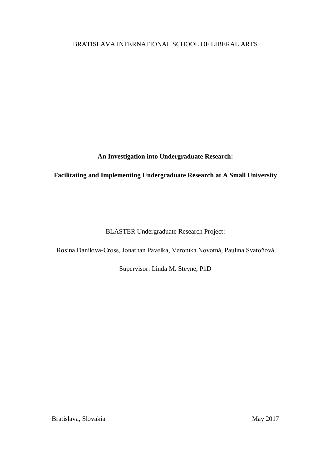# BRATISLAVA INTERNATIONAL SCHOOL OF LIBERAL ARTS

**An Investigation into Undergraduate Research:**

**Facilitating and Implementing Undergraduate Research at A Small University**

BLASTER Undergraduate Research Project:

Rosina Danilova-Cross, Jonathan Pavelka, Veronika Novotná, Paulina Svatoňová

Supervisor: Linda M. Steyne, PhD

Bratislava, Slovakia May 2017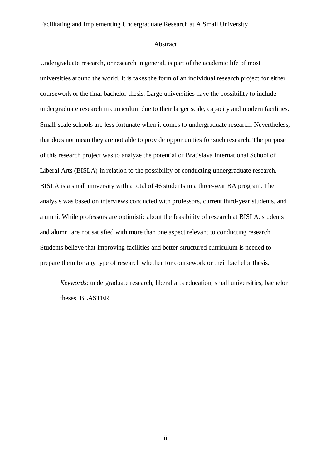#### Abstract

Undergraduate research, or research in general, is part of the academic life of most universities around the world. It is takes the form of an individual research project for either coursework or the final bachelor thesis. Large universities have the possibility to include undergraduate research in curriculum due to their larger scale, capacity and modern facilities. Small-scale schools are less fortunate when it comes to undergraduate research. Nevertheless, that does not mean they are not able to provide opportunities for such research. The purpose of this research project was to analyze the potential of Bratislava International School of Liberal Arts (BISLA) in relation to the possibility of conducting undergraduate research. BISLA is a small university with a total of 46 students in a three-year BA program. The analysis was based on interviews conducted with professors, current third-year students, and alumni. While professors are optimistic about the feasibility of research at BISLA, students and alumni are not satisfied with more than one aspect relevant to conducting research. Students believe that improving facilities and better-structured curriculum is needed to prepare them for any type of research whether for coursework or their bachelor thesis.

*Keywords*: undergraduate research, liberal arts education, small universities, bachelor theses, BLASTER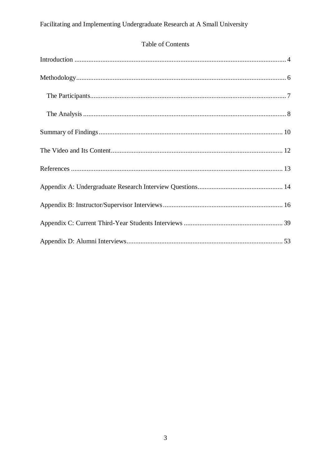# Table of Contents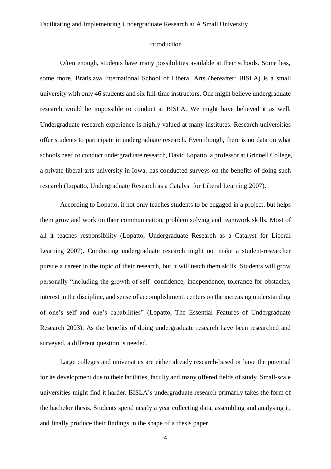#### Introduction

<span id="page-3-0"></span>Often enough, students have many possibilities available at their schools. Some less, some more. Bratislava International School of Liberal Arts (hereafter: BISLA) is a small university with only 46 students and six full-time instructors. One might believe undergraduate research would be impossible to conduct at BISLA. We might have believed it as well. Undergraduate research experience is highly valued at many institutes. Research universities offer students to participate in undergraduate research. Even though, there is no data on what schools need to conduct undergraduate research, David Lopatto, a professor at Grinnell College, a private liberal arts university in Iowa, has conducted surveys on the benefits of doing such research (Lopatto, Undergraduate Research as a Catalyst for Liberal Learning 2007).

According to Lopatto, it not only teaches students to be engaged in a project, but helps them grow and work on their communication, problem solving and teamwork skills. Most of all it teaches responsibility (Lopatto, Undergraduate Research as a Catalyst for Liberal Learning 2007). Conducting undergraduate research might not make a student-researcher pursue a career in the topic of their research, but it will teach them skills. Students will grow personally "including the growth of self- confidence, independence, tolerance for obstacles, interest in the discipline, and sense of accomplishment, centers on the increasing understanding of one's self and one's capabilities" (Lopatto, The Essential Features of Undergraduate Research 2003). As the benefits of doing undergraduate research have been researched and surveyed, a different question is needed.

Large colleges and universities are either already research-based or have the potential for its development due to their facilities, faculty and many offered fields of study. Small-scale universities might find it harder. BISLA's undergraduate research primarily takes the form of the bachelor thesis. Students spend nearly a year collecting data, assembling and analysing it, and finally produce their findings in the shape of a thesis paper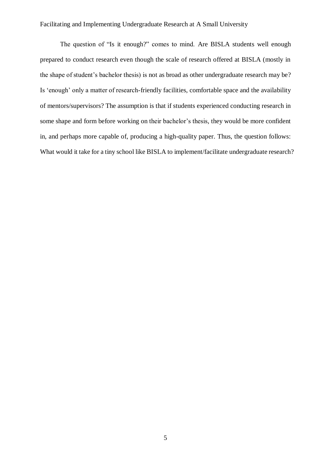The question of "Is it enough?" comes to mind. Are BISLA students well enough prepared to conduct research even though the scale of research offered at BISLA (mostly in the shape of student's bachelor thesis) is not as broad as other undergraduate research may be? Is 'enough' only a matter of research-friendly facilities, comfortable space and the availability of mentors/supervisors? The assumption is that if students experienced conducting research in some shape and form before working on their bachelor's thesis, they would be more confident in, and perhaps more capable of, producing a high-quality paper. Thus, the question follows: What would it take for a tiny school like BISLA to implement/facilitate undergraduate research?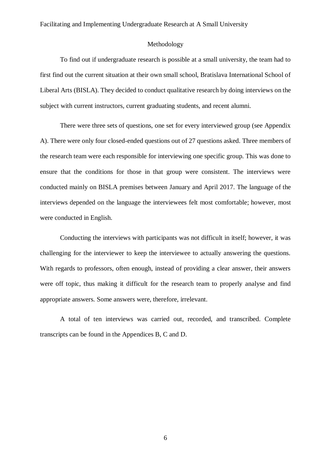#### Methodology

<span id="page-5-0"></span>To find out if undergraduate research is possible at a small university, the team had to first find out the current situation at their own small school, Bratislava International School of Liberal Arts (BISLA). They decided to conduct qualitative research by doing interviews on the subject with current instructors, current graduating students, and recent alumni.

There were three sets of questions, one set for every interviewed group (see Appendix A). There were only four closed-ended questions out of 27 questions asked. Three members of the research team were each responsible for interviewing one specific group. This was done to ensure that the conditions for those in that group were consistent. The interviews were conducted mainly on BISLA premises between January and April 2017. The language of the interviews depended on the language the interviewees felt most comfortable; however, most were conducted in English.

Conducting the interviews with participants was not difficult in itself; however, it was challenging for the interviewer to keep the interviewee to actually answering the questions. With regards to professors, often enough, instead of providing a clear answer, their answers were off topic, thus making it difficult for the research team to properly analyse and find appropriate answers. Some answers were, therefore, irrelevant.

A total of ten interviews was carried out, recorded, and transcribed. Complete transcripts can be found in the Appendices B, C and D.

6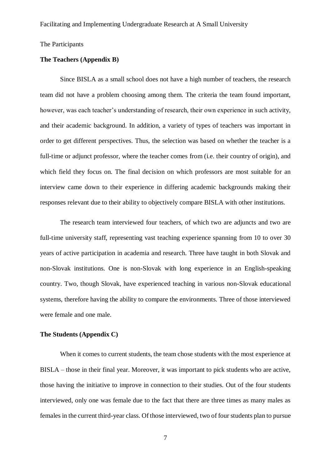<span id="page-6-0"></span>The Participants

#### **The Teachers (Appendix B)**

Since BISLA as a small school does not have a high number of teachers, the research team did not have a problem choosing among them. The criteria the team found important, however, was each teacher's understanding of research, their own experience in such activity, and their academic background. In addition, a variety of types of teachers was important in order to get different perspectives. Thus, the selection was based on whether the teacher is a full-time or adjunct professor, where the teacher comes from (i.e. their country of origin), and which field they focus on. The final decision on which professors are most suitable for an interview came down to their experience in differing academic backgrounds making their responses relevant due to their ability to objectively compare BISLA with other institutions.

The research team interviewed four teachers, of which two are adjuncts and two are full-time university staff, representing vast teaching experience spanning from 10 to over 30 years of active participation in academia and research. Three have taught in both Slovak and non-Slovak institutions. One is non-Slovak with long experience in an English-speaking country. Two, though Slovak, have experienced teaching in various non-Slovak educational systems, therefore having the ability to compare the environments. Three of those interviewed were female and one male.

#### **The Students (Appendix C)**

When it comes to current students, the team chose students with the most experience at BISLA – those in their final year. Moreover, it was important to pick students who are active, those having the initiative to improve in connection to their studies. Out of the four students interviewed, only one was female due to the fact that there are three times as many males as females in the current third-year class. Of those interviewed, two of four students plan to pursue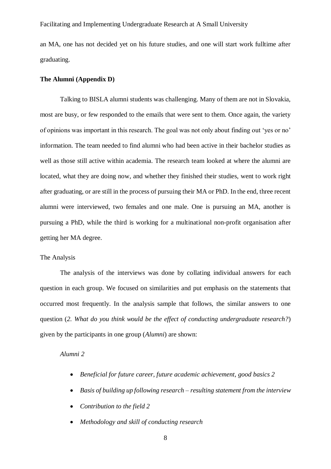an MA, one has not decided yet on his future studies, and one will start work fulltime after graduating.

#### **The Alumni (Appendix D)**

Talking to BISLA alumni students was challenging. Many of them are not in Slovakia, most are busy, or few responded to the emails that were sent to them. Once again, the variety of opinions was important in this research. The goal was not only about finding out 'yes or no' information. The team needed to find alumni who had been active in their bachelor studies as well as those still active within academia. The research team looked at where the alumni are located, what they are doing now, and whether they finished their studies, went to work right after graduating, or are still in the process of pursuing their MA or PhD. In the end, three recent alumni were interviewed, two females and one male. One is pursuing an MA, another is pursuing a PhD, while the third is working for a multinational non-profit organisation after getting her MA degree.

#### <span id="page-7-0"></span>The Analysis

The analysis of the interviews was done by collating individual answers for each question in each group. We focused on similarities and put emphasis on the statements that occurred most frequently. In the analysis sample that follows, the similar answers to one question (*2. What do you think would be the effect of conducting undergraduate research?*) given by the participants in one group (*Alumni*) are shown:

## *Alumni 2*

- *Beneficial for future career, future academic achievement, good basics 2*
- *Basis of building up following research – resulting statement from the interview*
- *Contribution to the field 2*
- *Methodology and skill of conducting research*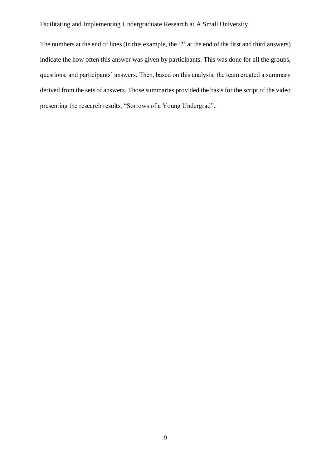The numbers at the end of lines (in this example, the '2' at the end of the first and third answers) indicate the how often this answer was given by participants. This was done for all the groups, questions, and participants' answers. Then, based on this analysis, the team created a summary derived from the sets of answers. Those summaries provided the basis for the script of the video presenting the research results, "Sorrows of a Young Undergrad".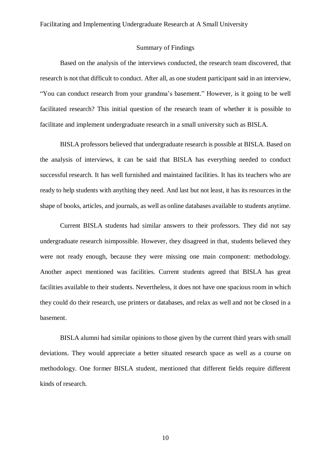### Summary of Findings

<span id="page-9-0"></span>Based on the analysis of the interviews conducted, the research team discovered, that research is not that difficult to conduct. After all, as one student participant said in an interview, "You can conduct research from your grandma's basement." However, is it going to be well facilitated research? This initial question of the research team of whether it is possible to facilitate and implement undergraduate research in a small university such as BISLA.

BISLA professors believed that undergraduate research is possible at BISLA. Based on the analysis of interviews, it can be said that BISLA has everything needed to conduct successful research. It has well furnished and maintained facilities. It has its teachers who are ready to help students with anything they need. And last but not least, it has its resources in the shape of books, articles, and journals, as well as online databases available to students anytime.

Current BISLA students had similar answers to their professors. They did not say undergraduate research isimpossible. However, they disagreed in that, students believed they were not ready enough, because they were missing one main component: methodology. Another aspect mentioned was facilities. Current students agreed that BISLA has great facilities available to their students. Nevertheless, it does not have one spacious room in which they could do their research, use printers or databases, and relax as well and not be closed in a basement.

BISLA alumni had similar opinions to those given by the current third years with small deviations. They would appreciate a better situated research space as well as a course on methodology. One former BISLA student, mentioned that different fields require different kinds of research.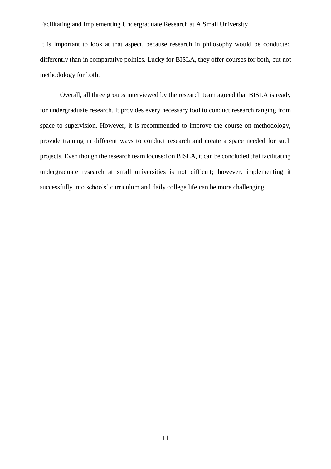It is important to look at that aspect, because research in philosophy would be conducted differently than in comparative politics. Lucky for BISLA, they offer courses for both, but not methodology for both.

Overall, all three groups interviewed by the research team agreed that BISLA is ready for undergraduate research. It provides every necessary tool to conduct research ranging from space to supervision. However, it is recommended to improve the course on methodology, provide training in different ways to conduct research and create a space needed for such projects. Even though the research team focused on BISLA, it can be concluded that facilitating undergraduate research at small universities is not difficult; however, implementing it successfully into schools' curriculum and daily college life can be more challenging.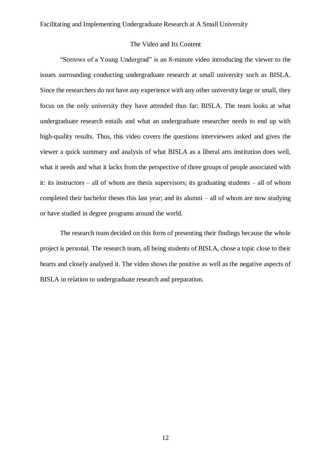#### The Video and Its Content

<span id="page-11-0"></span>"Sorrows of a Young Undergrad" is an 8-minute video introducing the viewer to the issues surrounding conducting undergraduate research at small university such as BISLA. Since the researchers do not have any experience with any other university large or small, they focus on the only university they have attended thus far: BISLA. The team looks at what undergraduate research entails and what an undergraduate researcher needs to end up with high-quality results. Thus, this video covers the questions interviewers asked and gives the viewer a quick summary and analysis of what BISLA as a liberal arts institution does well, what it needs and what it lacks from the perspective of three groups of people associated with it: its instructors – all of whom are thesis supervisors; its graduating students – all of whom completed their bachelor theses this last year; and its alumni – all of whom are now studying or have studied in degree programs around the world.

The research team decided on this form of presenting their findings because the whole project is personal. The research team, all being students of BISLA, chose a topic close to their hearts and closely analysed it. The video shows the positive as well as the negative aspects of BISLA in relation to undergraduate research and preparation.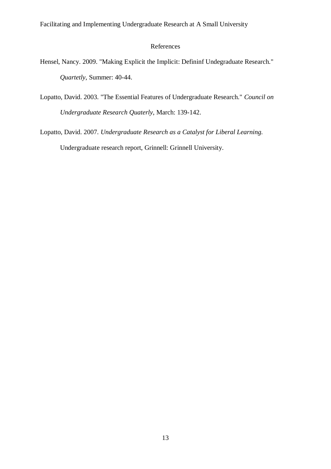# <span id="page-12-0"></span>References

- Hensel, Nancy. 2009. "Making Explicit the Implicit: Defininf Undegraduate Research." *Quartetly*, Summer: 40-44.
- Lopatto, David. 2003. "The Essential Features of Undergraduate Research." *Council on Undergraduate Research Quaterly*, March: 139-142.

Lopatto, David. 2007. *Undergraduate Research as a Catalyst for Liberal Learning.* Undergraduate research report, Grinnell: Grinnell University.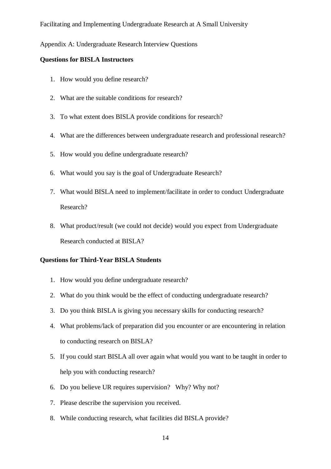#### <span id="page-13-0"></span>Appendix A: Undergraduate Research Interview Questions

#### **Questions for BISLA Instructors**

- 1. How would you define research?
- 2. What are the suitable conditions for research?
- 3. To what extent does BISLA provide conditions for research?
- 4. What are the differences between undergraduate research and professional research?
- 5. How would you define undergraduate research?
- 6. What would you say is the goal of Undergraduate Research?
- 7. What would BISLA need to implement/facilitate in order to conduct Undergraduate Research?
- 8. What product/result (we could not decide) would you expect from Undergraduate Research conducted at BISLA?

# **Questions for Third-Year BISLA Students**

- 1. How would you define undergraduate research?
- 2. What do you think would be the effect of conducting undergraduate research?
- 3. Do you think BISLA is giving you necessary skills for conducting research?
- 4. What problems/lack of preparation did you encounter or are encountering in relation to conducting research on BISLA?
- 5. If you could start BISLA all over again what would you want to be taught in order to help you with conducting research?
- 6. Do you believe UR requires supervision? Why? Why not?
- 7. Please describe the supervision you received.
- 8. While conducting research, what facilities did BISLA provide?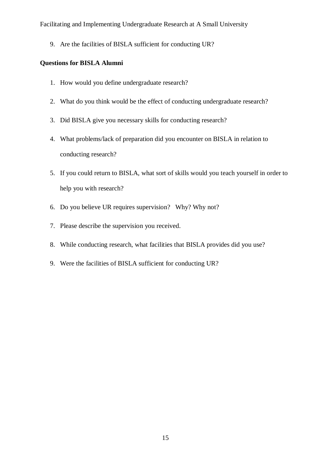9. Are the facilities of BISLA sufficient for conducting UR?

# **Questions for BISLA Alumni**

- 1. How would you define undergraduate research?
- 2. What do you think would be the effect of conducting undergraduate research?
- 3. Did BISLA give you necessary skills for conducting research?
- 4. What problems/lack of preparation did you encounter on BISLA in relation to conducting research?
- 5. If you could return to BISLA, what sort of skills would you teach yourself in order to help you with research?
- 6. Do you believe UR requires supervision? Why? Why not?
- 7. Please describe the supervision you received.
- 8. While conducting research, what facilities that BISLA provides did you use?
- 9. Were the facilities of BISLA sufficient for conducting UR?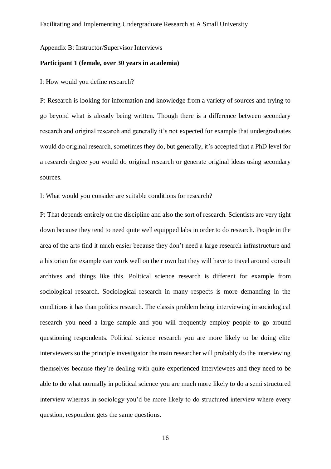<span id="page-15-0"></span>Appendix B: Instructor/Supervisor Interviews

#### **Participant 1 (female, over 30 years in academia)**

I: How would you define research?

P: Research is looking for information and knowledge from a variety of sources and trying to go beyond what is already being written. Though there is a difference between secondary research and original research and generally it's not expected for example that undergraduates would do original research, sometimes they do, but generally, it's accepted that a PhD level for a research degree you would do original research or generate original ideas using secondary sources.

I: What would you consider are suitable conditions for research?

P: That depends entirely on the discipline and also the sort of research. Scientists are very tight down because they tend to need quite well equipped labs in order to do research. People in the area of the arts find it much easier because they don't need a large research infrastructure and a historian for example can work well on their own but they will have to travel around consult archives and things like this. Political science research is different for example from sociological research. Sociological research in many respects is more demanding in the conditions it has than politics research. The classis problem being interviewing in sociological research you need a large sample and you will frequently employ people to go around questioning respondents. Political science research you are more likely to be doing elite interviewers so the principle investigator the main researcher will probably do the interviewing themselves because they're dealing with quite experienced interviewees and they need to be able to do what normally in political science you are much more likely to do a semi structured interview whereas in sociology you'd be more likely to do structured interview where every question, respondent gets the same questions.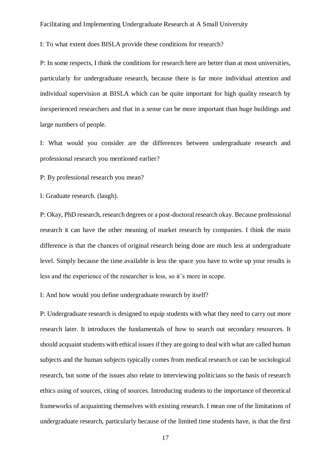I: To what extent does BISLA provide these conditions for research?

P: In some respects, I think the conditions for research here are better than at most universities, particularly for undergraduate research, because there is far more individual attention and individual supervision at BISLA which can be quite important for high quality research by inexperienced researchers and that in a sense can be more important than huge buildings and large numbers of people.

I: What would you consider are the differences between undergraduate research and professional research you mentioned earlier?

P: By professional research you mean?

I: Graduate research. (laugh).

P: Okay, PhD research, research degrees or a post-doctoral research okay. Because professional research it can have the other meaning of market research by companies. I think the main difference is that the chances of original research being done are much less at undergraduate level. Simply because the time available is less the space you have to write up your results is less and the experience of the researcher is less, so it's more in scope.

I: And how would you define undergraduate research by itself?

P: Undergraduate research is designed to equip students with what they need to carry out more research later. It introduces the fundamentals of how to search out secondary resources. It should acquaint students with ethical issues if they are going to deal with what are called human subjects and the human subjects typically comes from medical research or can be sociological research, but some of the issues also relate to interviewing politicians so the basis of research ethics using of sources, citing of sources. Introducing students to the importance of theoretical frameworks of acquainting themselves with existing research. I mean one of the limitations of undergraduate research, particularly because of the limited time students have, is that the first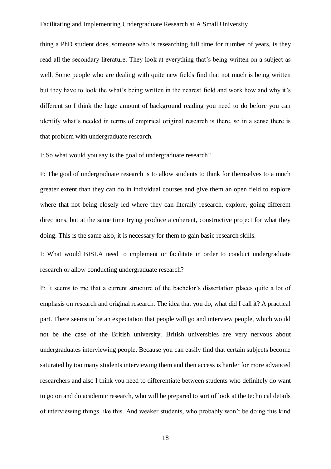thing a PhD student does, someone who is researching full time for number of years, is they read all the secondary literature. They look at everything that's being written on a subject as well. Some people who are dealing with quite new fields find that not much is being written but they have to look the what's being written in the nearest field and work how and why it's different so I think the huge amount of background reading you need to do before you can identify what's needed in terms of empirical original research is there, so in a sense there is that problem with undergraduate research.

I: So what would you say is the goal of undergraduate research?

P: The goal of undergraduate research is to allow students to think for themselves to a much greater extent than they can do in individual courses and give them an open field to explore where that not being closely led where they can literally research, explore, going different directions, but at the same time trying produce a coherent, constructive project for what they doing. This is the same also, it is necessary for them to gain basic research skills.

I: What would BISLA need to implement or facilitate in order to conduct undergraduate research or allow conducting undergraduate research?

P: It seems to me that a current structure of the bachelor's dissertation places quite a lot of emphasis on research and original research. The idea that you do, what did I call it? A practical part. There seems to be an expectation that people will go and interview people, which would not be the case of the British university. British universities are very nervous about undergraduates interviewing people. Because you can easily find that certain subjects become saturated by too many students interviewing them and then access is harder for more advanced researchers and also I think you need to differentiate between students who definitely do want to go on and do academic research, who will be prepared to sort of look at the technical details of interviewing things like this. And weaker students, who probably won't be doing this kind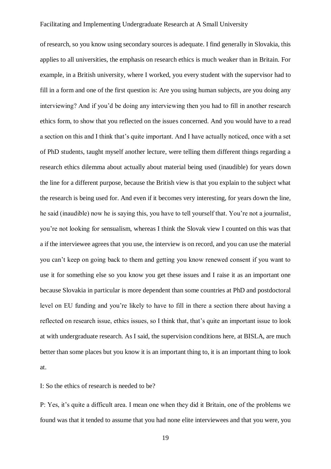of research, so you know using secondary sources is adequate. I find generally in Slovakia, this applies to all universities, the emphasis on research ethics is much weaker than in Britain. For example, in a British university, where I worked, you every student with the supervisor had to fill in a form and one of the first question is: Are you using human subjects, are you doing any interviewing? And if you'd be doing any interviewing then you had to fill in another research ethics form, to show that you reflected on the issues concerned. And you would have to a read a section on this and I think that's quite important. And I have actually noticed, once with a set of PhD students*,* taught myself another lecture, were telling them different things regarding a research ethics dilemma about actually about material being used (inaudible) for years down the line for a different purpose, because the British view is that you explain to the subject what the research is being used for. And even if it becomes very interesting, for years down the line, he said (inaudible) now he is saying this, you have to tell yourself that. You're not a journalist, you're not looking for sensualism, whereas I think the Slovak view I counted on this was that a if the interviewee agrees that you use, the interview is on record, and you can use the material you can't keep on going back to them and getting you know renewed consent if you want to use it for something else so you know you get these issues and I raise it as an important one because Slovakia in particular is more dependent than some countries at PhD and postdoctoral level on EU funding and you're likely to have to fill in there a section there about having a reflected on research issue, ethics issues, so I think that, that's quite an important issue to look at with undergraduate research. As I said, the supervision conditions here, at BISLA, are much better than some places but you know it is an important thing to, it is an important thing to look at.

I: So the ethics of research is needed to be?

P: Yes, it's quite a difficult area. I mean one when they did it Britain, one of the problems we found was that it tended to assume that you had none elite interviewees and that you were, you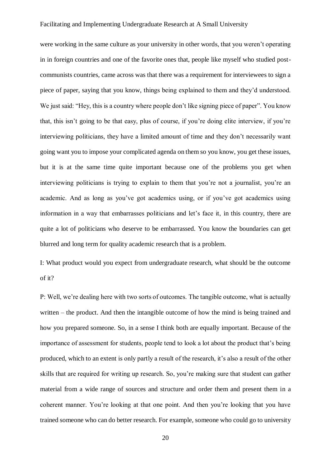were working in the same culture as your university in other words, that you weren't operating in in foreign countries and one of the favorite ones that, people like myself who studied postcommunists countries, came across was that there was a requirement for interviewees to sign a piece of paper, saying that you know, things being explained to them and they'd understood. We just said: "Hey, this is a country where people don't like signing piece of paper". You know that, this isn't going to be that easy, plus of course, if you're doing elite interview, if you're interviewing politicians, they have a limited amount of time and they don't necessarily want going want you to impose your complicated agenda on them so you know, you get these issues, but it is at the same time quite important because one of the problems you get when interviewing politicians is trying to explain to them that you're not a journalist, you're an academic. And as long as you've got academics using, or if you've got academics using information in a way that embarrasses politicians and let's face it, in this country, there are quite a lot of politicians who deserve to be embarrassed. You know the boundaries can get blurred and long term for quality academic research that is a problem.

I: What product would you expect from undergraduate research, what should be the outcome of it?

P: Well, we're dealing here with two sorts of outcomes. The tangible outcome, what is actually written – the product. And then the intangible outcome of how the mind is being trained and how you prepared someone. So, in a sense I think both are equally important. Because of the importance of assessment for students, people tend to look a lot about the product that's being produced, which to an extent is only partly a result of the research, it's also a result of the other skills that are required for writing up research. So, you're making sure that student can gather material from a wide range of sources and structure and order them and present them in a coherent manner. You're looking at that one point. And then you're looking that you have trained someone who can do better research. For example, someone who could go to university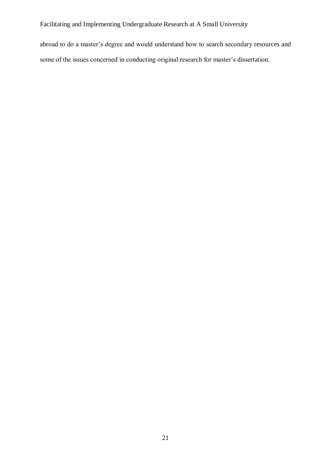abroad to do a master's degree and would understand how to search secondary resources and some of the issues concerned in conducting original research for master's dissertation.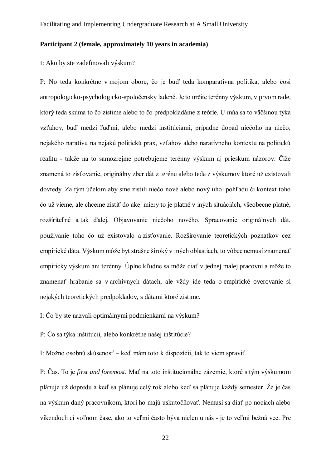# **Participant 2 (female, approximately 10 years in academia)**

I: Ako by ste zadefinovali výskum?

P: No teda konkrétne v mojom obore, čo je buď teda komparatívna politika, alebo čosi antropologicko-psychologicko-spoločensky ladené. Je to určite terénny výskum, v prvom rade, ktorý teda skúma to čo zistime alebo to čo predpokladáme z teórie. U mňa sa to väčšinou týka vzťahov, buď medzi ľuďmi, alebo medzi inštitúciami, prípadne dopad niečoho na niečo, nejakého naratívu na nejakú politickú prax, vzťahov alebo naratívneho kontextu na politickú realitu - takže na to samozrejme potrebujeme terénny výskum aj prieskum názorov. Čiže znamená to zisťovanie, originálny zber dát z terénu alebo teda z výskumov ktoré už existovali dovtedy. Za tým účelom aby sme zistili niečo nové alebo nový uhol pohľadu či kontext toho čo už vieme, ale chceme zistiť do akej miery to je platné v iných situáciách, všeobecne platné, rozšíriteľné a tak ďalej. Objavovanie niečoho nového. Spracovanie originálnych dát, používanie toho čo už existovalo a zisťovanie. Rozširovanie teoretických poznatkov cez empirické dáta. Výskum môže byt strašne široký v iných oblastiach, to vôbec nemusí znamenať empiricky výskum ani terénny. Úplne kľudne sa môže diať v jednej malej pracovni a môže to znamenať hrabanie sa v archívnych dátach, ale vždy ide teda o empirické overovanie si nejakých teoretických predpokladov, s dátami ktoré zistime.

I: Čo by ste nazvali optimálnymi podmienkami na výskum?

P: Čo sa týka inštitúcii, alebo konkrétne našej inštitúcie?

I: Možno osobnú skúsenosť – keď mám toto k dispozícii, tak to viem spraviť.

P: Čas. To je *first and foremost*. Mať na toto inštitucionálne zázemie, ktoré s tým výskumom plánuje už dopredu a keď sa plánuje celý rok alebo keď sa plánuje každý semester. Že je čas na výskum daný pracovníkom, ktorí ho majú uskutočňovať. Nemusí sa diať po nociach alebo víkendoch ci voľnom čase, ako to veľmi často býva nielen u nás - je to veľmi bežná vec. Pre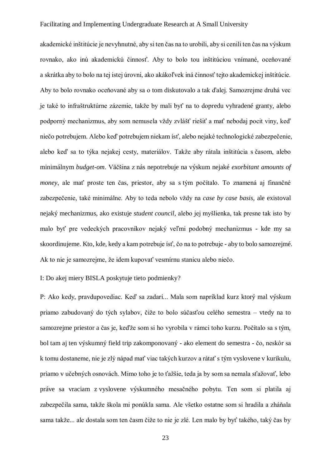akademické inštitúcie je nevyhnutné, aby si ten čas na to urobili, aby si cenili ten čas na výskum rovnako, ako inú akademickú činnosť. Aby to bolo tou inštitúciou vnímané, oceňované a skrátka aby to bolo na tej istej úrovni, ako akákoľvek iná činnosť tejto akademickej inštitúcie. Aby to bolo rovnako oceňované aby sa o tom diskutovalo a tak ďalej. Samozrejme druhá vec je také to infraštruktúrne zázemie, takže by mali byť na to dopredu vyhradené granty, alebo podporný mechanizmus, aby som nemusela vždy zvlášť riešiť a mať nebodaj pocit viny, keď niečo potrebujem. Alebo keď potrebujem niekam ísť, alebo nejaké technologické zabezpečenie, alebo keď sa to týka nejakej cesty, materiálov. Takže aby rátala inštitúcia s časom, alebo minimálnym *budget-om*. Väčšina z nás nepotrebuje na výskum nejaké *exorbitant amounts of money*, ale mať proste ten čas, priestor, aby sa s tým počítalo. To znamená aj finančné zabezpečenie, také minimálne. Aby to teda nebolo vždy na *case by case basis,* ale existoval nejaký mechanizmus, ako existuje *student council,* alebo jej myšlienka, tak presne tak isto by malo byť pre vedeckých pracovníkov nejaký veľmi podobný mechanizmus - kde my sa skoordinujeme. Kto, kde, kedy a kam potrebuje ísť, čo na to potrebuje - aby to bolo samozrejmé. Ak to nie je samozrejme, že idem kupovať vesmírnu stanicu alebo niečo.

I: Do akej miery BISLA poskytuje tieto podmienky?

P: Ako kedy, pravdupovediac. Keď sa zadarí... Mala som napríklad kurz ktorý mal výskum priamo zabudovaný do tých sylabov, čiže to bolo súčasťou celého semestra – vtedy na to samozrejme priestor a čas je, keďže som si ho vyrobila v rámci toho kurzu. Počítalo sa s tým, bol tam aj ten výskumný field trip zakomponovaný - ako element do semestra - čo, neskôr sa k tomu dostaneme, nie je zlý nápad mať viac takých kurzov a rátať s tým vyslovene v kurikulu, priamo v učebných osnovách. Mimo toho je to ťažšie, teda ja by som sa nemala sťažovať, lebo práve sa vraciam z vyslovene výskumného mesačného pobytu. Ten som si platila aj zabezpečila sama, takže škola mi ponúkla sama. Ale všetko ostatne som si hradila a zháňala sama takže... ale dostala som ten časm čiže to nie je zlé. Len malo by byť takého, taký čas by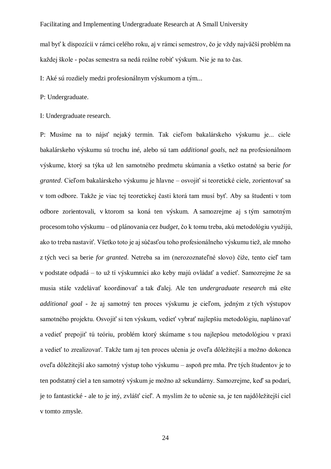mal byť k dispozícii v rámci celého roku, aj v rámci semestrov, čo je vždy najväčší problém na každej škole - počas semestra sa nedá reálne robiť výskum. Nie je na to čas.

I: Aké sú rozdiely medzi profesionálnym výskumom a tým...

P: Undergraduate.

I: Undergraduate research.

P: Musíme na to nájsť nejaký termín. Tak cieľom bakalárskeho výskumu je... ciele bakalárskeho výskumu sú trochu iné, alebo sú tam *additional goals*, než na profesionálnom výskume, ktorý sa týka už len samotného predmetu skúmania a všetko ostatné sa berie *for granted*. Cieľom bakalárskeho výskumu je hlavne – osvojiť si teoretické ciele, zorientovať sa v tom odbore. Takže je viac tej teoretickej časti ktorá tam musí byť. Aby sa študenti v tom odbore zorientovali, v ktorom sa koná ten výskum. A samozrejme aj s tým samotným procesom toho výskumu – od plánovania cez *budget*, čo k tomu treba, akú metodológiu využijú, ako to treba nastaviť. Všetko toto je aj súčasťou toho profesionálneho výskumu tiež, ale mnoho z tých veci sa berie *for granted*. Netreba sa im (nerozoznateľné slovo) čiže, tento cieľ tam v podstate odpadá – to už tí výskumníci ako keby majú ovládať a vedieť. Samozrejme že sa musia stále vzdelávať koordinovať a tak ďalej. Ale ten *undergraduate research* má ešte *additional goal* - že aj samotný ten proces výskumu je cieľom, jedným z tých výstupov samotného projektu. Osvojiť si ten výskum, vedieť vybrať najlepšiu metodológiu, naplánovať a vedieť prepojiť tú teóriu, problém ktorý skúmame s tou najlepšou metodológiou v praxi a vedieť to zrealizovať. Takže tam aj ten proces učenia je oveľa dôležitejší a možno dokonca oveľa dôležitejší ako samotný výstup toho výskumu – aspoň pre mňa. Pre tých študentov je to ten podstatný ciel a ten samotný výskum je možno až sekundárny. Samozrejme, keď sa podarí, je to fantastické - ale to je iný, zvlášť cieľ. A myslím že to učenie sa, je ten najdôležitejší ciel v tomto zmysle.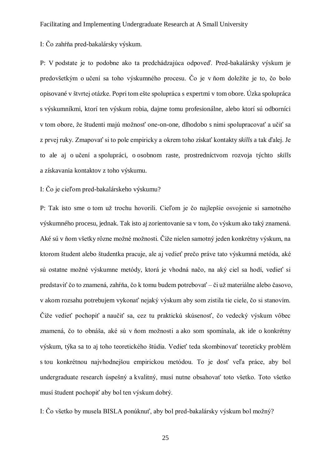I: Čo zahŕňa pred-bakalársky výskum.

P: V podstate je to podobne ako ta predchádzajúca odpoveď. Pred-bakalársky výskum je predovšetkým o učení sa toho výskumného procesu. Čo je v ňom doležíte je to, čo bolo opisované v štvrtej otázke. Popri tom ešte spolupráca s expertmi v tom obore. Úzka spolupráca s výskumníkmi, ktorí ten výskum robia, dajme tomu profesionálne, alebo ktorí sú odborníci v tom obore, že študenti majú možnosť one-on-one, dlhodobo s nimi spolupracovať a učiť sa z prvej ruky. Zmapovať si to pole empiricky a okrem toho získať kontakty *skills* a tak ďalej. Je to ale aj o učení a spolupráci, o osobnom raste, prostredníctvom rozvoja týchto *skills* a získavania kontaktov z toho výskumu.

# I: Čo je cieľom pred-bakalárskeho výskumu?

P: Tak isto sme o tom už trochu hovorili. Cieľom je čo najlepšie osvojenie si samotného výskumného procesu, jednak. Tak isto aj zorientovanie sa v tom, čo výskum ako taký znamená. Aké sú v ňom všetky rôzne možné možnosti. Čiže nielen samotný jeden konkrétny výskum, na ktorom študent alebo študentka pracuje, ale aj vedieť prečo práve tato výskumná metóda, aké sú ostatne možné výskumne metódy, ktorá je vhodná načo, na aký ciel sa hodí, vedieť si predstaviť čo to znamená, zahŕňa, čo k tomu budem potrebovať – či už materiálne alebo časovo, v akom rozsahu potrebujem vykonať nejaký výskum aby som zistila tie ciele, čo si stanovím. Čiže vedieť pochopiť a naučiť sa, cez tu praktickú skúsenosť, čo vedecký výskum vôbec znamená, čo to obnáša, aké sú v ňom možnosti a ako som spomínala, ak ide o konkrétny výskum, týka sa to aj toho teoretického štúdia. Vedieť teda skombinovať teoreticky problém s tou konkrétnou najvhodnejšou empirickou metódou. To je dosť veľa práce, aby bol undergraduate research úspešný a kvalitný, musí nutne obsahovať toto všetko. Toto všetko musí študent pochopiť aby bol ten výskum dobrý.

I: Čo všetko by musela BISLA ponúknuť, aby bol pred-bakalársky výskum bol možný?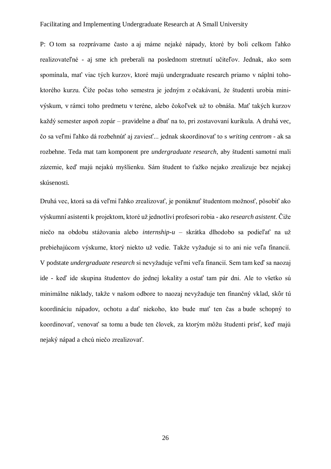P: O tom sa rozprávame často a aj máme nejaké nápady, ktoré by boli celkom ľahko realizovateľné - aj sme ich preberali na poslednom stretnutí učiteľov. Jednak, ako som spomínala, mať viac tých kurzov, ktoré majú undergraduate research priamo v náplni tohoktorého kurzu. Čiže počas toho semestra je jedným z očakávaní, že študenti urobia minivýskum, v rámci toho predmetu v teréne, alebo čokoľvek už to obnáša. Mať takých kurzov každý semester aspoň zopár – pravidelne a dbať na to, pri zostavovaní kurikula. A druhá vec, čo sa veľmi ľahko dá rozbehnúť aj zaviesť... jednak skoordinovať to s *writing centrom -* ak sa rozbehne. Teda mat tam komponent pre *undergraduate research*, aby študenti samotní mali zázemie, keď majú nejakú myšlienku. Sám študent to ťažko nejako zrealizuje bez nejakej skúsenosti.

Druhá vec, ktorá sa dá veľmi ľahko zrealizovať, je ponúknuť študentom možnosť, pôsobiť ako výskumní asistenti k projektom, ktoré už jednotliví profesori robia - ako *research asistent*. Čiže niečo na obdobu stážovania alebo *internship-u* – skrátka dlhodobo sa podieľať na už prebiehajúcom výskume, ktorý niekto už vedie. Takže vyžaduje si to ani nie veľa financií. V podstate *undergraduate research* si nevyžaduje veľmi veľa financií. Sem tam keď sa naozaj ide - keď ide skupina študentov do jednej lokality a ostať tam pár dni. Ale to všetko sú minimálne náklady, takže v našom odbore to naozaj nevyžaduje ten finančný vklad, skôr tú koordináciu nápadov, ochotu a dať niekoho, kto bude mať ten čas a bude schopný to koordinovať, venovať sa tomu a bude ten človek, za ktorým môžu študenti prísť, keď majú nejaký nápad a chcú niečo zrealizovať.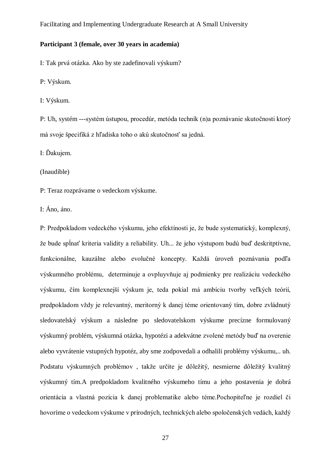#### **Participant 3 (female, over 30 years in academia)**

I: Tak prvá otázka. Ako by ste zadefinovali výskum?

P: Výskum.

I: Výskum.

P: Uh, systém ---systém ústupou, procedúr, metóda techník (n)a poznávanie skutočnosti ktorý má svoje špecifiká z hľadiska toho o akú skutočnosť sa jedná.

I: Ďakujem.

(Inaudible)

P: Teraz rozprávame o vedeckom výskume.

I: Áno, áno.

P: Predpokladom vedeckého výskumu, jeho efektínosti je, že bude systematický, komplexný, že bude spĺnať kriteria validity a reliability. Uh... že jeho výstupom budú buď deskritptívne, funkcionálne, kauzálne alebo evolučné koncepty. Každá úroveň poznávania podľa výskumného problému, determinuje a ovpluyvňuje aj podmienky pre realizáciu vedeckého výskumu, čím komplexnejší výskum je, teda pokial má ambíciu tvorby veľkých teórií, predpokladom vždy je relevantný, meritorný k danej téme orientovaný tím, dobre zvládnutý sledovatelský výskum a následne po sledovatelskom výskume precízne formulovaný výskumný problém, výskumná otázka, hypotézi a adekvátne zvolené metódy buď na overenie alebo vyvrátenie vstupných hypotéz, aby sme zodpovedali a odhalili problémy výskumu,.. uh. Podstatu výskumných problémov , takže určite je dôležitý, nesmierne dôležitý kvalitný výskumný tím.A predpokladom kvalitného výskumeho tímu a jeho postavenia je dobrá orientácia a vlastná pozícia k danej problematike alebo téme.Pochopiteľne je rozdiel či hovoríme o vedeckom výskume v prírodných, technických alebo spoločenských vedách, každý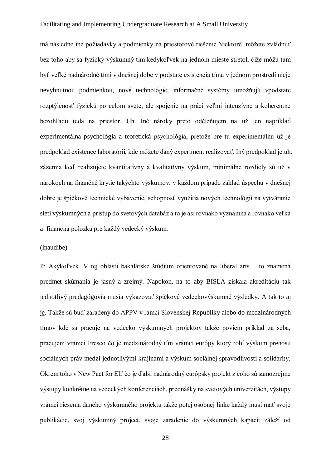má následne iné požiadavky a podmienky na priestorové riešenie.Niektoré môžete zvládnuť bez toho aby sa fyzický výskumný tím kedykoľvek na jednom mieste stretol, čiže môžu tam byť veľké nadnárodné tími v dnešnej dobe v podstate existencia tímu v jednom prostredí nieje nevyhnutnou podmienkou, nové technológie, informačné systémy umožňujú vpodstate rozptýlenosť fyzickú po celom svete, ale spojenie na práci veľmi intenzívne a koherentne bezohľadu teda na priestor. Uh. Iné nároky preto odčleňujem na už len napríklad experimentálna psychológia a teoretická psychológia, pretože pre tu experimentálnu už je predpoklad existence laboratórii, kde môžete daný experiment realizovať. Iný predpoklad je.uh. zázemia keď realizujete kvantitatívny a kvalitatívny výskum, minimálne rozdiely sú už v nárokoch na finančné krytie takýchto výskumov, v každom prípade základ úspechu v dnešnej dobre je špičkové technické vybavenie, schopnosť využitia nových technológií na vytváranie sieti výskumných a prístup do svetových databáz a to je asi rovnako významná a rovnako veľká aj finančná položka pre každý vedecký výskum.

# (inaudibe)

P: Akýkoľvek. V tej oblasti bakalárske štúdium orientované na liberal arts… to znamená predmet skúmania je jasný a zrejmý. Napokon, na to aby BISLA získala akreditáciu tak jednotlivý predagógovia musia vykazovať špičkové vedeckovýskumné výsledky. A tak to aj je. Takže sú buď zaradený do APPV v rámci Slovenskej Republiky alebo do medzinárodných tímov kde sa pracuje na vedecko výskumných projektov takže poviem príklad za seba, pracujem vrámci Fresco čo je medzinárodný tím vrámci európy ktorý robí výskum prenosu sociálnych práv medzi jednotlivými krajinami a výskum sociálnej spravodlivosti a solidarity. Okrem toho v New Pact for EU čo je ďalší nadnárodný európsky projekt z čoho sú samozrejme výstupy konkrétne na vedeckých konferenciách, prednášky na svetových univerzitách, výstupy vrámci riešenia daného výskumného projektu takže potej osobnej linke každý musí mať svoje publikácie, svoj výskumný project, svoje zaradenie do výskumných kapacít záleží od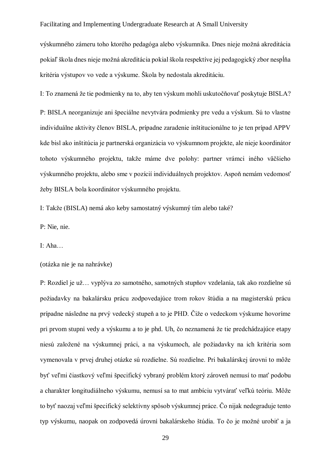výskumného zámeru toho ktorého pedagóga alebo výskumníka. Dnes nieje možná akreditácia pokiaľ škola dnes nieje možná akreditácia pokial škola respektíve jej pedagogický zbor nespĺňa kritéria výstupov vo vede a výskume. Škola by nedostala akreditáciu.

I: To znamená že tie podmienky na to, aby ten výskum mohli uskutočňovať poskytuje BISLA? P: BISLA neorganizuje ani špeciálne nevytvára podmienky pre vedu a výskum. Sú to vlastne individuálne aktivity členov BISLA, prípadne zaradenie inštitucionálne to je ten prípad APPV kde bisl ako inštitúcia je partnerská organizácia vo výskumnom projekte, ale nieje koordinátor tohoto výskumného projektu, takže máme dve polohy: partner vrámci iného väčšieho výskumného projektu, alebo sme v pozícií individuálnych projektov. Aspoň nemám vedomosť žeby BISLA bola koordinátor výskumného projektu.

I: Takže (BISLA) nemá ako keby samostatný výskumný tím alebo také?

P: Nie, nie.

I: Aha…

(otázka nie je na nahrávke)

P: Rozdiel je už… vyplýva zo samotného, samotných stupňov vzdelania, tak ako rozdielne sú požiadavky na bakalársku prácu zodpovedajúce trom rokov štúdia a na magisterskú prácu prípadne následne na prvý vedecký stupeň a to je PHD. Čiže o vedeckom výskume hovoríme pri prvom stupni vedy a výskumu a to je phd. Uh, čo neznamená že tie predchádzajúce etapy niesú založené na výskumnej práci, a na výskumoch, ale požiadavky na ich kritéria som vymenovala v prvej druhej otázke sú rozdielne. Sú rozdielne. Pri bakalárskej úrovni to môže byť veľmi čiastkový veľmi špecifický vybraný problém ktorý zároveň nemusí to mať podobu a charakter longitudiálneho výskumu, nemusí sa to mat ambíciu vytvárať veľkú teóriu. Môže to byť naozaj veľmi špecifický selektívny spôsob výskumnej práce. Čo nijak nedegraduje tento typ výskumu, naopak on zodpovedá úrovni bakalárskeho štúdia. To čo je možné urobiť a ja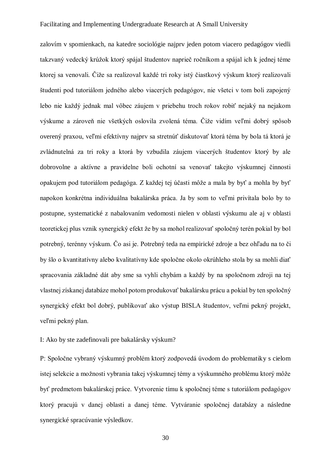zalovím v spomienkach, na katedre sociológie najprv jeden potom viacero pedagógov viedli takzvaný vedecký krúžok ktorý spájal študentov naprieč ročníkom a spájal ich k jednej téme ktorej sa venovali. Čiže sa realizoval každé tri roky istý čiastkový výskum ktorý realizovali študenti pod tutoriálom jedného alebo viacerých pedagógov, nie všetci v tom boli zapojený lebo nie každý jednak mal vôbec záujem v priebehu troch rokov robiť nejaký na nejakom výskume a zároveň nie všetkých oslovila zvolená téma. Čiže vidím veľmi dobrý spôsob overený praxou, veľmi efektívny najprv sa stretnúť diskutovať ktorá téma by bola tá ktorá je zvládnutelná za tri roky a ktorá by vzbudila záujem viacerých študentov ktorý by ale dobrovolne a aktívne a pravidelne boli ochotní sa venovať takejto výskumnej činnosti opakujem pod tutoriálom pedagóga. Z každej tej účasti môže a mala by byť a mohla by byť napokon konkrétna individuálna bakalárska práca. Ja by som to veľmi privítala bolo by to postupne, systematické z nabalovaním vedomosti nielen v oblasti výskumu ale aj v oblasti teoretickej plus vznik synergický efekt že by sa mohol realizovať spoločný terén pokial by bol potrebný, terénny výskum. Čo asi je. Potrebný teda na empirické zdroje a bez ohľadu na to či by šlo o kvantitatívny alebo kvalitatívny kde spoločne okolo okrúhleho stola by sa mohli diať spracovania základné dát aby sme sa vyhli chybám a každý by na spoločnom zdroji na tej vlastnej získanej databáze mohol potom produkovať bakalársku prácu a pokial by ten spoločný synergický efekt bol dobrý, publikovať ako výstup BISLA študentov, veľmi pekný projekt, veľmi pekný plan.

# I: Ako by ste zadefinovali pre bakalársky výskum?

P: Spoločne vybraný výskumný problém ktorý zodpovedá úvodom do problematiky s cielom istej selekcie a možnosti vybrania takej výskumnej témy a výskumného problému ktorý môže byť predmetom bakalárskej práce. Vytvorenie tímu k spoločnej téme s tutoriálom pedagógov ktorý pracujú v danej oblasti a danej téme. Vytváranie spoločnej databázy a následne synergické spracúvanie výsledkov.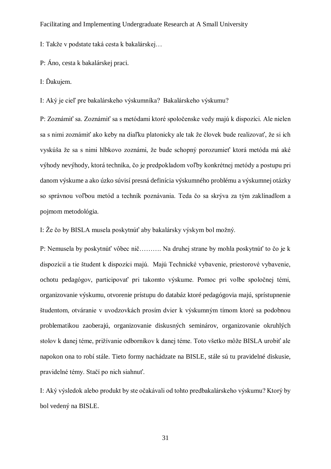I: Takže v podstate taká cesta k bakalárskej…

P: Áno, cesta k bakalárskej praci.

I: Ďakujem.

I: Aký je cieľ pre bakalárskeho výskumníka? Bakalárskeho výskumu?

P: Zoznámiť sa. Zoznámiť sa s metódami ktoré spoločenske vedy majú k dispozíci. Ale nielen sa s nimi zoznámiť ako keby na diaľku platonicky ale tak že človek bude realizovať, že si ich vyskúša že sa s nimi hlbkovo zoznámi, že bude schopný porozumieť ktorá metóda má aké výhody nevýhody, ktorá technika, čo je predpokladom voľby konkrétnej metódy a postupu pri danom výskume a ako úzko súvisí presná definícia výskumného problému a výskumnej otázky so správnou voľbou metód a techník poznávania. Teda čo sa skrýva za tým zaklínadlom a pojmom metodológia.

I: Že čo by BISLA musela poskytnúť aby bakalársky výskym bol možný.

P: Nemusela by poskytnúť vôbec nič………. Na druhej strane by mohla poskytnúť to čo je k dispozícií a tie študent k dispozíci majú. Majú Technické vybavenie, priestorové vybavenie, ochotu pedagógov, participovať pri takomto výskume. Pomoc pri volbe spoločnej témi, organizovanie výskumu, otvorenie prístupu do databáz ktoré pedagógovia majú, sprístupnenie študentom, otváranie v uvodzovkách prosím dvier k výskumným tímom ktoré sa podobnou problematikou zaoberajú, organizovanie diskusných seminárov, organizovanie okruhlých stolov k danej téme, prižívanie odborníkov k danej téme. Toto všetko môže BISLA urobiť ale napokon ona to robí stále. Tieto formy nachádzate na BISLE, stále sú tu pravidelné diskusie, pravidelné témy. Stačí po nich siahnuť.

I: Aký výsledok alebo produkt by ste očakávali od tohto predbakalárskeho výskumu? Ktorý by bol vedený na BISLE.

31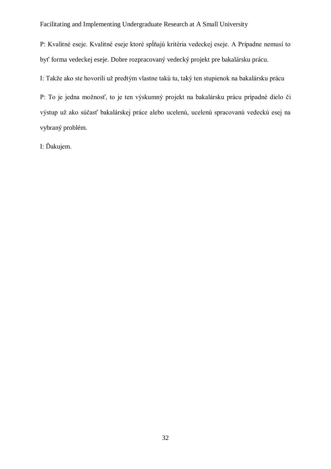P: Kvalitné eseje. Kvalitné eseje ktoré spĺňajú kritéria vedeckej eseje. A Prípadne nemusí to byť forma vedeckej eseje. Dobre rozpracovaný vedecký projekt pre bakalársku prácu.

I: Takže ako ste hovorili už predtým vlastne takú tu, taký ten stupienok na bakalársku prácu

P: To je jedna možnosť, to je ten výskumný projekt na bakalársku prácu prípadné dielo či výstup už ako súčasť bakalárskej práce alebo ucelenú, ucelenú spracovanú vedeckú esej na vybraný problém.

I: Ďakujem.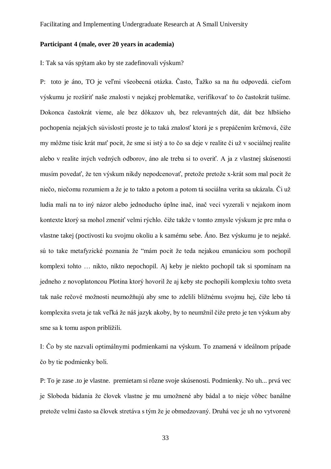#### **Participant 4 (male, over 20 years in academia)**

I: Tak sa vás spýtam ako by ste zadefinovali výskum?

P: toto je áno, TO je veľmi všeobecná otázka. Často, Ťažko sa na ňu odpovedá. cieľom výskumu je rozšíriť naše znalosti v nejakej problematike, verifikovať to čo častokrát tušíme. Dokonca častokrát vieme, ale bez dôkazov uh, bez relevantných dát, dát bez hlbšieho pochopenia nejakých súvislostí proste je to taká znalosť ktorá je s prepáčením krčmová, čiže my môžme tisíc krát mať pocit, že sme si istý a to čo sa deje v realite či už v sociálnej realite alebo v realite iných vedných odborov, áno ale treba si to overiť. A ja z vlastnej skúsenosti musím povedať, že ten výskum nikdy nepodcenovať, pretože pretože x-krát som mal pocit že niečo, niečomu rozumiem a že je to takto a potom a potom tá sociálna verita sa ukázala. Či už ludia mali na to iný názor alebo jednoducho úplne inač, inač veci vyzerali v nejakom inom kontexte ktorý sa mohol zmeniť velmi rýchlo. čiže takže v tomto zmysle výskum je pre mňa o vlastne takej (poctivosti ku svojmu okoliu a k samému sebe. Áno. Bez výskumu je to nejaké. sú to take metafyzické poznania že "mám pocit že teda nejakou emanáciou som pochopil komplexi tohto … nikto, nikto nepochopil. Aj keby je niekto pochopil tak si spomínam na jedneho z novoplatoncou Plotina ktorý hovoril že aj keby ste pochopili komplexiu tohto sveta tak naše rečové možnosti neumožňujú aby sme to zdelili bližnému svojmu hej, čiže lebo tá komplexita sveta je tak veľká že náš jazyk akoby, by to neumžnil čiže preto je ten výskum aby sme sa k tomu aspon priblížili.

I: Čo by ste nazvali optimálnymi podmienkami na výskum. To znamená v ideálnom prípade čo by tie podmienky boli.

P: To je zase .to je vlastne. premietam si rôzne svoje skúsenosti. Podmienky. No uh... prvá vec je Sloboda bádania že človek vlastne je mu umožnené aby bádal a to nieje vôbec banálne pretože velmi často sa človek stretáva s tým že je obmedzovaný. Druhá vec je uh no vytvorené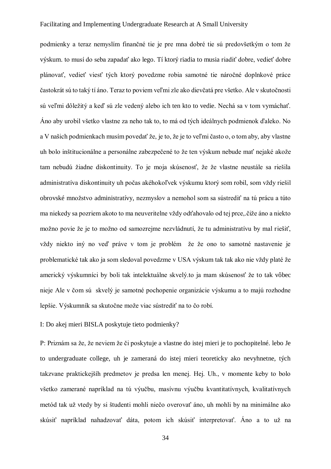podmienky a teraz nemyslím finančné tie je pre mna dobré tie sú predovšetkým o tom že výskum. to musí do seba zapadať ako lego. Tí ktorý riadia to musia riadiť dobre, vedieť dobre plánovať, vedieť viesť tých ktorý povedzme robia samotné tie náročné doplnkové práce častokrát sú to taký tí áno. Teraz to poviem veľmi zle ako dievčatá pre všetko. Ale v skutočnosti sú veľmi dôležitý a keď sú zle vedený alebo ich ten kto to vedie. Nechá sa v tom vymáchať. Áno aby urobil všetko vlastne za neho tak to, to má od tých ideálnych podmienok ďaleko. No a V našich podmienkach musím povedať že, je to, že je to veľmi často o, o tom aby, aby vlastne uh bolo inštitucionálne a personálne zabezpečené to že ten výskum nebude mať nejaké akože tam nebudú žiadne diskontinuity. To je moja skúsenosť, že že vlastne neustále sa riešila administratíva diskontinuity uh počas akéhokoľvek výskumu ktorý som robil, som vždy riešil obrovské množstvo administratívy, nezmyslov a nemohol som sa sústrediť na tú prácu a túto ma niekedy sa pozriem akoto to ma neuveritelne vždy odťahovalo od tej prce,.čiže áno a niekto možno povie že je to možno od samozrejme nezvládnutí, že tu administratívu by mal riešiť, vždy niekto iný no veď práve v tom je problém že že ono to samotné nastavenie je problematické tak ako ja som sledoval povedzme v USA výskum tak tak ako nie vždy platé že americký výskumníci by boli tak intelektuálne skvelý.to ja mam skúsenosť že to tak vôbec nieje Ale v čom sú skvelý je samotné pochopenie organizácie výskumu a to majú rozhodne lepšie. Výskumník sa skutočne može viac sústrediť na to čo robí.

# I: Do akej mieri BISLA poskytuje tieto podmienky?

P: Priznám sa že, že neviem že či poskytuje a vlastne do istej mieri je to pochopitelné. lebo Je to undergraduate college, uh je zameraná do istej mieri teoreticky ako nevyhnetne, tých takzvane praktickejšíh predmetov je predsa len menej. Hej. Uh., v momente keby to bolo všetko zamerané napríklad na tú výučbu, masívnu výučbu kvantitatívnych, kvalitatívnych metód tak už vtedy by si študenti mohli niečo overovať áno, uh mohli by na minimálne ako skúsiť napríklad nahadzovať dáta, potom ich skúsiť interpretovať. Áno a to už na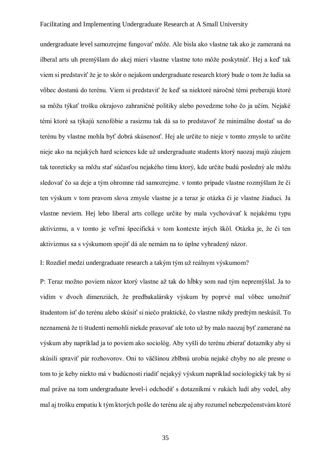undergraduate level samozrejme fungovať môže. Ale bisla ako vlastne tak ako je zameraná na ilberal arts uh premýšlam do akej mieri vlastne vlastne toto môže poskytnúť. Hej a keď tak viem si predstaviť že je to skôr o nejakom undergraduate research ktorý bude o tom že ludia sa vôbec dostanú do terénu. Viem si predstaviť že keď sa niektoré náročné témi preberajú ktoré sa môžu týkať trošku okrajovo zahraničné politiky alebo povedzme toho čo ja učím. Nejaké témi ktoré sa týkajú xenofóbie a rasizmu tak dá sa to predstavoť že minimálne dostať sa do terénu by vlastne mohla byť dobrá skúsenosť. Hej ale určite to nieje v tomto zmysle to určite nieje ako na nejakých hard sciences kde už undergraduate students ktorý naozaj majú záujem tak teoreticky sa môžu stať súčasťou nejakého tímu ktorý, kde určite budú posledný ale môžu sledovať čo sa deje a tým ohromne rád samozrejme. v tomto prípade vlastne rozmýšlam že či ten výskum v tom pravom slova zmysle vlastne je a teraz je otázka či je vlastne žiaduci. Ja vlastne neviem. Hej lebo liberal arts college určite by mala vychovávať k nejakému typu aktivizmu, a v tomto je veľmi špecifická v tom kontexte iných škôl. Otázka je, že či ten aktivizmus sa s výskumom spojiť dá ale nemám na to úplne vyhradený názor.

I: Rozdiel medzi undergraduate research a takým tým už reálnym výskumom?

P: Teraz možno poviem názor ktorý vlastne až tak do hĺbky som nad tým nepremýšlal. Ja to vidím v dvoch dimenziách, že predbakalársky výskum by poprvé mal vôbec umožniť študentom ísť do terénu alebo skúsiť si niečo praktické, čo vlastne nikdy predtým neskúsil. To neznamená že ti študenti nemohli niekde praxovať ale toto už by malo naozaj byť zamerané na výskum aby napríklad ja to poviem ako sociológ. Aby vyšli do terénu zbierať dotazníky aby si skúsili spraviť pár rozhovorov. Oni to väčšinou zblbnú urobia nejaké chyby no ale presne o tom to je keby niekto má v budúcnosti riadiť nejakyý výskum napríklad sociologický tak by si mal práve na tom undergraduate level-i odchodiť s dotazníkmi v rukách ludí aby vedel, aby mal aj trošku empatiu k tým ktorých pošle do terénu ale aj aby rozumel nebezpečenstvám ktoré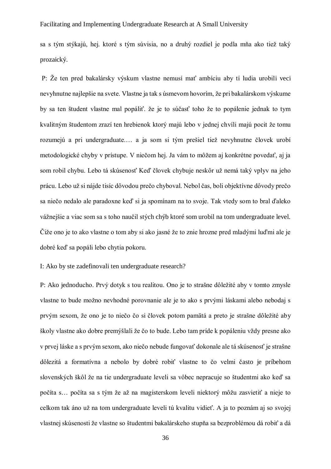sa s tým stýkajú, hej. ktoré s tým súvisia, no a druhý rozdiel je podla mňa ako tiež taký prozaický.

P: Že ten pred bakalársky výskum vlastne nemusí mať ambíciu aby tí ludia urobili veci nevyhnutne najlepšie na svete. Vlastne ja tak s úsmevom hovorím, že pri bakalárskom výskume by sa ten študent vlastne mal popáliť. že je to súčasť toho že to popálenie jednak to tym kvalitným študentom zrazí ten hrebienok ktorý majú lebo v jednej chvíli majú pocit že tomu rozumejú a pri undergraduate.… a ja som si tým prešiel tiež nevyhnutne človek urobí metodologické chyby v prístupe. V niečom hej. Ja vám to môžem aj konkrétne povedať, aj ja som robil chybu. Lebo tá skúsenosť Keď človek chybuje neskôr už nemá taký vplyv na jeho prácu. Lebo už si nájde tisíc dôvodou prečo chyboval. Nebol čas, boli objektívne dôvody prečo sa niečo nedalo ale paradoxne keď si ja spomínam na to svoje. Tak vtedy som to bral ďaleko vážnejšie a viac som sa s toho naučil stých chýb ktoré som urobil na tom undergraduate level. Čiže ono je to ako vlastne o tom aby si ako jasné že to znie hrozne pred mladými luďmi ale je dobré keď sa popáli lebo chytia pokoru.

## I: Ako by ste zadefinovali ten undergraduate research?

P: Ako jednoducho. Prvý dotyk s tou realitou. Ono je to strašne dôležité aby v tomto zmysle vlastne to bude možno nevhodné porovnanie ale je to ako s prvými láskami alebo nebodaj s prvým sexom, že ono je to niečo čo si človek potom pamätá a preto je strašne dôležité aby školy vlastne ako dobre premýšlali že čo to bude. Lebo tam príde k popáleniu vždy presne ako v prvej láske a s prvým sexom, ako niečo nebude fungovať dokonale ale tá skúsenosť je strašne dôlezitá a formatívna a nebolo by dobré robiť vlastne to čo velmi často je príbehom slovenských škôl že na tie undergraduate leveli sa vôbec nepracuje so študentmi ako keď sa počíta s… počíta sa s tým že až na magisterskom leveli niektorý môžu zasvietiť a nieje to celkom tak áno už na tom undergraduate leveli tú kvalitu vidieť. A ja to poznám aj so svojej vlastnej skúsenosti že vlastne so študentmi bakalárskeho stupňa sa bezproblémou dá robiť a dá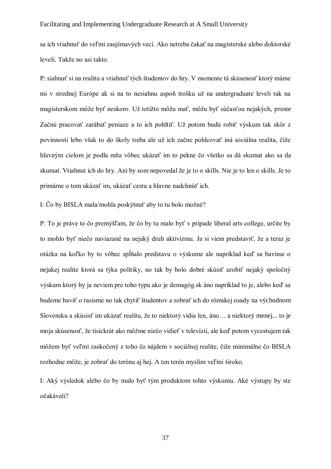sa ich vtiahnuť do veľmi zaujímavých vecí. Ako netreba čakať na magisterské alebo doktorské leveli. Takže no asi takto.

P: siahnuť si na realitu a vtiahnuť tých študentov do hry. V momente tá skúsenosť ktorý máme mi v strednej Európe ak si na to nesiahnu aspoň trošku už na undergraduate leveli tak na magisterskom môže byť neskoro. Už totižto môžu mať, môžu byť súčasťou nejakých, proste Začnú pracovať zarábať peniaze a to ich pohltiť. Už potom budú robiť výskum tak skôr z povinnosti lebo však to do školy treba ale už ich začne pohlcovať iná sociálna realita, čiže hlavným cielom je podla mňa vôbec ukázať im to pekne čo všetko sa dá skumat ako sa da skumat. Vtiahnut ich do hry. Ani by som nepovedal že je to o skills. Nie je to len o skills. Je to primárne o tom ukázať im, ukázať cestu a hlavne nadchnúť ich.

I: Čo by BISLA mala/mohla poskýtnuť aby to tu bolo možné?

P: To je práve to čo premýšľam, že čo by tu malo byť v prípade liberal arts college, určite by to mohlo byť niečo naviazané na nejaký druh aktivizmu. Ja si viem predstaviť, že a teraz je otázka na koľko by to vôbec spĺňalo predstavu o výskume ale napríklad keď sa bavíme o nejakej realite ktorá sa týka politiky, no tak by bolo dobré skúsiť urobiť nejaký spoločný výskum ktorý by ja neviem pre toho typu ako je demagóg.sk áno napríklad to je, alebo keď sa budeme baviť o rasisme no tak chytiť študentov a zobrať ich do rómskej osady na východnom Slovensku a skúsisť im ukázať realitu, že to niektorý vidia len, áno… a niektorý menej... to je moja skúsenosť, že tisíckrát ako môžme niečo vidieť v televízií, ale keď potom vycestujem tak môžem byť veľmi zaskočený z toho čo nájdem v sociálnej realite, čiže minimálne čo BISLA rozhodne môže, je zobrať do terénu aj hej. A ten terén myslím veľmi široko.

I: Aký výsledok alebo čo by malo byť tým produktom tohto výskumu. Aké výstupy by ste očakávali?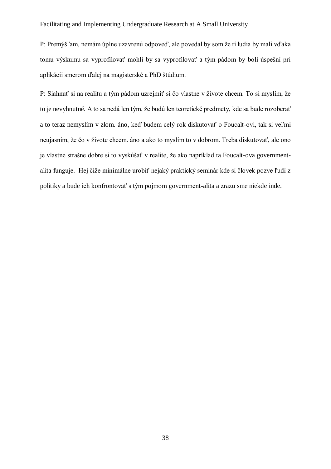P: Premýšľam, nemám úplne uzavrenú odpoveď, ale povedal by som že tí ludia by mali vďaka tomu výskumu sa vyprofilovať mohli by sa vyprofilovať a tým pádom by boli úspešní pri aplikácii smerom ďalej na magisterské a PhD štúdium.

P: Siahnuť si na realitu a tým pádom uzrejmiť si čo vlastne v živote chcem. To si myslím, že to je nevyhnutné. A to sa nedá len tým, že budú len teoretické predmety, kde sa bude rozoberať a to teraz nemyslím v zlom. áno, keď budem celý rok diskutovať o Foucalt-ovi, tak si veľmi neujasním, že čo v živote chcem. áno a ako to myslím to v dobrom. Treba diskutovať, ale ono je vlastne strašne dobre si to vyskúšať v realite, že ako napríklad ta Foucalt-ova governmentalita funguje. Hej čiže minimálne urobiť nejaký praktický seminár kde si človek pozve ľudí z politiky a bude ich konfrontovať s tým pojmom government-alita a zrazu sme niekde inde.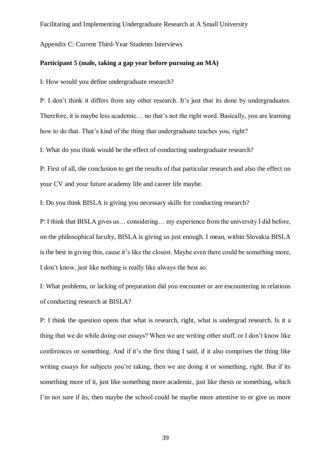<span id="page-38-0"></span>Appendix C: Current Third-Year Students Interviews

#### **Participant 5 (male, taking a gap year before pursuing an MA)**

I: How would you define undergraduate research?

P: I don't think it differs from any other research. It's just that its done by undergraduates. Therefore, it is maybe less academic… no that's not the right word. Basically, you are learning how to do that. That's kind of the thing that undergraduate teaches you, right?

I: What do you think would be the effect of conducting undergraduate research?

P: First of all, the conclusion to get the results of that particular research and also the effect on your CV and your future academy life and career life maybe.

I: Do you think BISLA is giving you necessary skills for conducting research?

P: I think that BISLA gives us… considering… my experience from the university I did before, on the philosophical faculty, BISLA is giving us just enough. I mean, within Slovakia BISLA is the best in giving this, cause it's like the closest. Maybe even there could be something more, I don't know, just like nothing is really like always the best so.

I: What problems, or lacking of preparation did you encounter or are encountering in relations of conducting research at BISLA?

P: I think the question opens that what is research, right, what is undergrad research. Is it a thing that we do while doing our essays? When we are writing other stuff, or I don't know like conferences or something. And if it's the first thing I said, if it also comprises the thing like writing essays for subjects you're taking, then we are doing it or something, right. But if its something more of it, just like something more academic, just like thesis or something, which I'm not sure if its, then maybe the school could be maybe more attentive to or give us more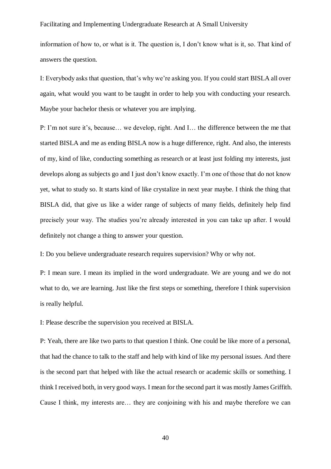information of how to, or what is it. The question is, I don't know what is it, so. That kind of answers the question.

I: Everybody asks that question, that's why we're asking you. If you could start BISLA all over again, what would you want to be taught in order to help you with conducting your research. Maybe your bachelor thesis or whatever you are implying.

P: I'm not sure it's, because… we develop, right. And I… the difference between the me that started BISLA and me as ending BISLA now is a huge difference, right. And also, the interests of my, kind of like, conducting something as research or at least just folding my interests, just develops along as subjects go and I just don't know exactly. I'm one of those that do not know yet, what to study so. It starts kind of like crystalize in next year maybe. I think the thing that BISLA did, that give us like a wider range of subjects of many fields, definitely help find precisely your way. The studies you're already interested in you can take up after. I would definitely not change a thing to answer your question.

I: Do you believe undergraduate research requires supervision? Why or why not.

P: I mean sure. I mean its implied in the word undergraduate. We are young and we do not what to do, we are learning. Just like the first steps or something, therefore I think supervision is really helpful.

I: Please describe the supervision you received at BISLA.

P: Yeah, there are like two parts to that question I think. One could be like more of a personal, that had the chance to talk to the staff and help with kind of like my personal issues. And there is the second part that helped with like the actual research or academic skills or something. I think I received both, in very good ways. I mean for the second part it was mostly James Griffith. Cause I think, my interests are… they are conjoining with his and maybe therefore we can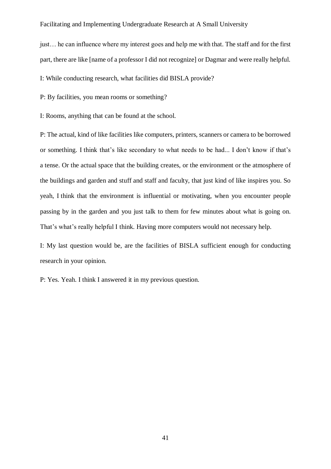just… he can influence where my interest goes and help me with that. The staff and for the first part, there are like [name of a professor I did not recognize] or Dagmar and were really helpful.

I: While conducting research, what facilities did BISLA provide?

P: By facilities, you mean rooms or something?

I: Rooms, anything that can be found at the school.

P: The actual, kind of like facilities like computers, printers, scanners or camera to be borrowed or something. I think that's like secondary to what needs to be had... I don't know if that's a tense. Or the actual space that the building creates, or the environment or the atmosphere of the buildings and garden and stuff and staff and faculty, that just kind of like inspires you. So yeah, I think that the environment is influential or motivating, when you encounter people passing by in the garden and you just talk to them for few minutes about what is going on. That's what's really helpful I think. Having more computers would not necessary help.

I: My last question would be, are the facilities of BISLA sufficient enough for conducting research in your opinion.

P: Yes. Yeah. I think I answered it in my previous question.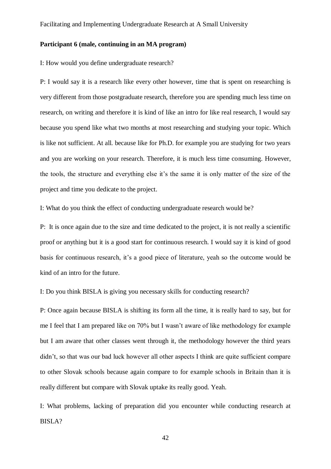#### **Participant 6 (male, continuing in an MA program)**

I: How would you define undergraduate research?

P: I would say it is a research like every other however, time that is spent on researching is very different from those postgraduate research, therefore you are spending much less time on research, on writing and therefore it is kind of like an intro for like real research, I would say because you spend like what two months at most researching and studying your topic. Which is like not sufficient. At all. because like for Ph.D. for example you are studying for two years and you are working on your research. Therefore, it is much less time consuming. However, the tools, the structure and everything else it's the same it is only matter of the size of the project and time you dedicate to the project.

I: What do you think the effect of conducting undergraduate research would be?

P: It is once again due to the size and time dedicated to the project, it is not really a scientific proof or anything but it is a good start for continuous research. I would say it is kind of good basis for continuous research, it's a good piece of literature, yeah so the outcome would be kind of an intro for the future.

I: Do you think BISLA is giving you necessary skills for conducting research?

P: Once again because BISLA is shifting its form all the time, it is really hard to say, but for me I feel that I am prepared like on 70% but I wasn't aware of like methodology for example but I am aware that other classes went through it, the methodology however the third years didn't, so that was our bad luck however all other aspects I think are quite sufficient compare to other Slovak schools because again compare to for example schools in Britain than it is really different but compare with Slovak uptake its really good. Yeah.

I: What problems, lacking of preparation did you encounter while conducting research at BISLA?

42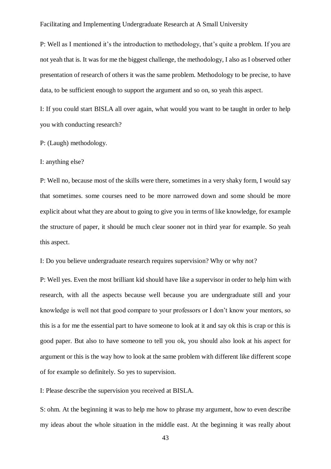P: Well as I mentioned it's the introduction to methodology, that's quite a problem. If you are not yeah that is. It was for me the biggest challenge, the methodology, I also as I observed other presentation of research of others it was the same problem. Methodology to be precise, to have data, to be sufficient enough to support the argument and so on, so yeah this aspect.

I: If you could start BISLA all over again, what would you want to be taught in order to help you with conducting research?

P: (Laugh) methodology.

I: anything else?

P: Well no, because most of the skills were there, sometimes in a very shaky form, I would say that sometimes. some courses need to be more narrowed down and some should be more explicit about what they are about to going to give you in terms of like knowledge, for example the structure of paper, it should be much clear sooner not in third year for example. So yeah this aspect.

I: Do you believe undergraduate research requires supervision? Why or why not?

P: Well yes. Even the most brilliant kid should have like a supervisor in order to help him with research, with all the aspects because well because you are undergraduate still and your knowledge is well not that good compare to your professors or I don't know your mentors, so this is a for me the essential part to have someone to look at it and say ok this is crap or this is good paper. But also to have someone to tell you ok, you should also look at his aspect for argument or this is the way how to look at the same problem with different like different scope of for example so definitely. So yes to supervision.

I: Please describe the supervision you received at BISLA.

S: ohm. At the beginning it was to help me how to phrase my argument, how to even describe my ideas about the whole situation in the middle east. At the beginning it was really about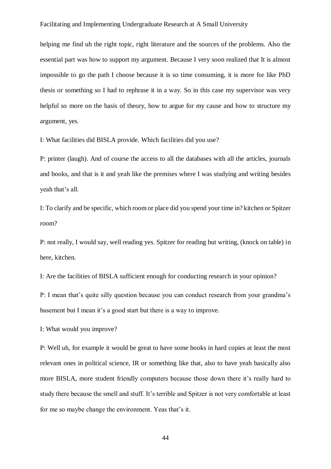helping me find uh the right topic, right literature and the sources of the problems. Also the essential part was how to support my argument. Because I very soon realized that It is almost impossible to go the path I choose because it is so time consuming, it is more for like PhD thesis or something so I had to rephrase it in a way. So in this case my supervisor was very helpful so more on the basis of theory, how to argue for my cause and how to structure my argument, yes.

I: What facilities did BISLA provide. Which facilities did you use?

P: printer (laugh). And of course the access to all the databases with all the articles, journals and books, and that is it and yeah like the premises where I was studying and writing besides yeah that's all.

I: To clarify and be specific, which room or place did you spend your time in? kitchen or Spitzer room?

P: not really, I would say, well reading yes. Spitzer for reading but writing, (knock on table) in here, kitchen.

I: Are the facilities of BISLA sufficient enough for conducting research in your opinion?

P: I mean that's quite silly question because you can conduct research from your grandma's basement but I mean it's a good start but there is a way to improve.

I: What would you improve?

P: Well uh, for example it would be great to have some books in hard copies at least the most relevant ones in political science, IR or something like that, also to have yeah basically also more BISLA, more student friendly computers because those down there it's really hard to study there because the smell and stuff. It's terrible and Spitzer is not very comfortable at least for me so maybe change the environment. Yeas that's it.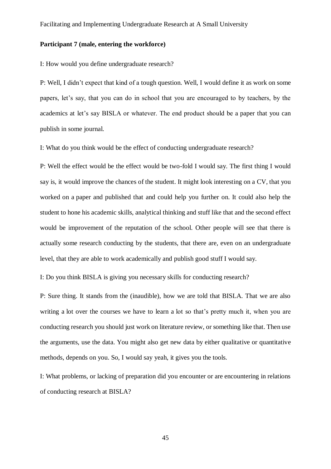#### **Participant 7 (male, entering the workforce)**

I: How would you define undergraduate research?

P: Well, I didn't expect that kind of a tough question. Well, I would define it as work on some papers, let's say, that you can do in school that you are encouraged to by teachers, by the academics at let's say BISLA or whatever. The end product should be a paper that you can publish in some journal.

I: What do you think would be the effect of conducting undergraduate research?

P: Well the effect would be the effect would be two-fold I would say. The first thing I would say is, it would improve the chances of the student. It might look interesting on a CV, that you worked on a paper and published that and could help you further on. It could also help the student to hone his academic skills, analytical thinking and stuff like that and the second effect would be improvement of the reputation of the school. Other people will see that there is actually some research conducting by the students, that there are, even on an undergraduate level, that they are able to work academically and publish good stuff I would say.

I: Do you think BISLA is giving you necessary skills for conducting research?

P: Sure thing. It stands from the (inaudible), how we are told that BISLA. That we are also writing a lot over the courses we have to learn a lot so that's pretty much it, when you are conducting research you should just work on literature review, or something like that. Then use the arguments, use the data. You might also get new data by either qualitative or quantitative methods, depends on you. So, I would say yeah, it gives you the tools.

I: What problems, or lacking of preparation did you encounter or are encountering in relations of conducting research at BISLA?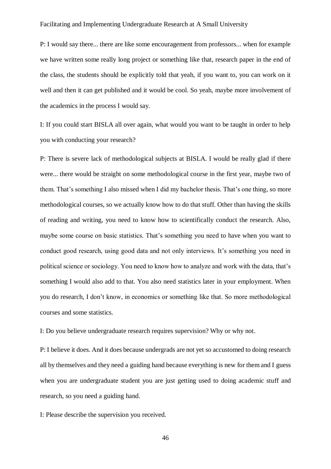P: I would say there... there are like some encouragement from professors... when for example we have written some really long project or something like that, research paper in the end of the class, the students should be explicitly told that yeah, if you want to, you can work on it well and then it can get published and it would be cool. So yeah, maybe more involvement of the academics in the process I would say.

I: If you could start BISLA all over again, what would you want to be taught in order to help you with conducting your research?

P: There is severe lack of methodological subjects at BISLA. I would be really glad if there were... there would be straight on some methodological course in the first year, maybe two of them. That's something I also missed when I did my bachelor thesis. That's one thing, so more methodological courses, so we actually know how to do that stuff. Other than having the skills of reading and writing, you need to know how to scientifically conduct the research. Also, maybe some course on basic statistics. That's something you need to have when you want to conduct good research, using good data and not only interviews. It's something you need in political science or sociology. You need to know how to analyze and work with the data, that's something I would also add to that. You also need statistics later in your employment. When you do research, I don't know, in economics or something like that. So more methodological courses and some statistics.

I: Do you believe undergraduate research requires supervision? Why or why not.

P: I believe it does. And it does because undergrads are not yet so accustomed to doing research all by themselves and they need a guiding hand because everything is new for them and I guess when you are undergraduate student you are just getting used to doing academic stuff and research, so you need a guiding hand.

I: Please describe the supervision you received.

46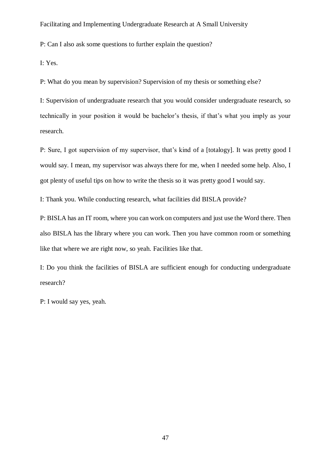P: Can I also ask some questions to further explain the question?

I: Yes.

P: What do you mean by supervision? Supervision of my thesis or something else?

I: Supervision of undergraduate research that you would consider undergraduate research, so technically in your position it would be bachelor's thesis, if that's what you imply as your research.

P: Sure, I got supervision of my supervisor, that's kind of a [totalogy]. It was pretty good I would say. I mean, my supervisor was always there for me, when I needed some help. Also, I got plenty of useful tips on how to write the thesis so it was pretty good I would say.

I: Thank you. While conducting research, what facilities did BISLA provide?

P: BISLA has an IT room, where you can work on computers and just use the Word there. Then also BISLA has the library where you can work. Then you have common room or something like that where we are right now, so yeah. Facilities like that.

I: Do you think the facilities of BISLA are sufficient enough for conducting undergraduate research?

P: I would say yes, yeah.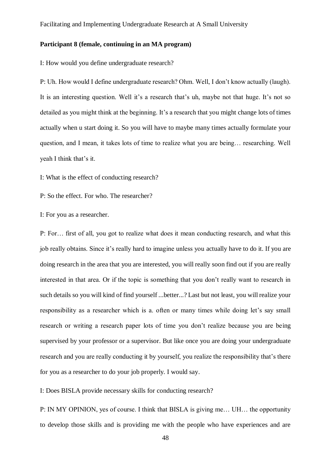# **Participant 8 (female, continuing in an MA program)**

I: How would you define undergraduate research?

P: Uh. How would I define undergraduate research? Ohm. Well, I don't know actually (laugh). It is an interesting question. Well it's a research that's uh, maybe not that huge. It's not so detailed as you might think at the beginning. It's a research that you might change lots of times actually when u start doing it. So you will have to maybe many times actually formulate your question, and I mean, it takes lots of time to realize what you are being… researching. Well yeah I think that's it.

I: What is the effect of conducting research?

P: So the effect. For who. The researcher?

I: For you as a researcher.

P: For… first of all, you got to realize what does it mean conducting research, and what this job really obtains. Since it's really hard to imagine unless you actually have to do it. If you are doing research in the area that you are interested, you will really soon find out if you are really interested in that area. Or if the topic is something that you don't really want to research in such details so you will kind of find yourself ...better...? Last but not least, you will realize your responsibility as a researcher which is a. often or many times while doing let's say small research or writing a research paper lots of time you don't realize because you are being supervised by your professor or a supervisor. But like once you are doing your undergraduate research and you are really conducting it by yourself, you realize the responsibility that's there for you as a researcher to do your job properly. I would say.

I: Does BISLA provide necessary skills for conducting research?

P: IN MY OPINION, yes of course. I think that BISLA is giving me… UH… the opportunity to develop those skills and is providing me with the people who have experiences and are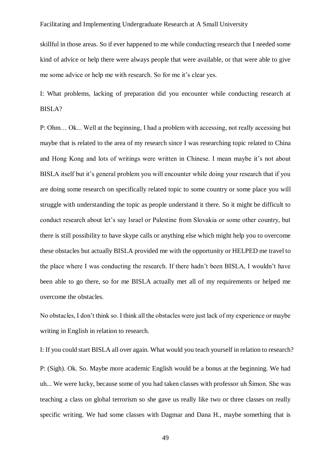skillful in those areas. So if ever happened to me while conducting research that I needed some kind of advice or help there were always people that were available, or that were able to give me some advice or help me with research. So for me it's clear yes.

I: What problems, lacking of preparation did you encounter while conducting research at BISLA?

P: Ohm… Ok... Well at the beginning, I had a problem with accessing, not really accessing but maybe that is related to the area of my research since I was researching topic related to China and Hong Kong and lots of writings were written in Chinese. I mean maybe it's not about BISLA itself but it's general problem you will encounter while doing your research that if you are doing some research on specifically related topic to some country or some place you will struggle with understanding the topic as people understand it there. So it might be difficult to conduct research about let's say Israel or Palestine from Slovakia or some other country, but there is still possibility to have skype calls or anything else which might help you to overcome these obstacles but actually BISLA provided me with the opportunity or HELPED me travel to the place where I was conducting the research. If there hadn't been BISLA, I wouldn't have been able to go there, so for me BISLA actually met all of my requirements or helped me overcome the obstacles.

No obstacles, I don't think so. I think all the obstacles were just lack of my experience or maybe writing in English in relation to research.

I: If you could start BISLA all over again. What would you teach yourself in relation to research? P: (Sigh). Ok. So. Maybe more academic English would be a bonus at the beginning. We had uh... We were lucky, because some of you had taken classes with professor uh Šimon. She was teaching a class on global terrorism so she gave us really like two or three classes on really specific writing. We had some classes with Dagmar and Dana H., maybe something that is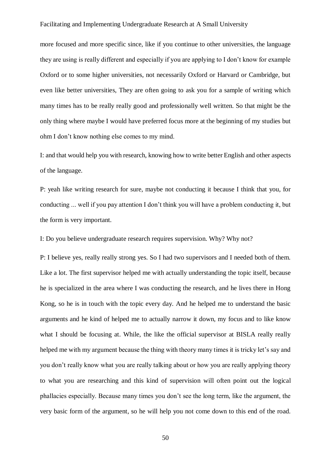more focused and more specific since, like if you continue to other universities, the language they are using is really different and especially if you are applying to I don't know for example Oxford or to some higher universities, not necessarily Oxford or Harvard or Cambridge, but even like better universities, They are often going to ask you for a sample of writing which many times has to be really really good and professionally well written. So that might be the only thing where maybe I would have preferred focus more at the beginning of my studies but ohm I don't know nothing else comes to my mind.

I: and that would help you with research, knowing how to write better English and other aspects of the language.

P: yeah like writing research for sure, maybe not conducting it because I think that you, for conducting ... well if you pay attention I don't think you will have a problem conducting it, but the form is very important.

I: Do you believe undergraduate research requires supervision. Why? Why not?

P: I believe yes, really really strong yes. So I had two supervisors and I needed both of them. Like a lot. The first supervisor helped me with actually understanding the topic itself, because he is specialized in the area where I was conducting the research, and he lives there in Hong Kong, so he is in touch with the topic every day. And he helped me to understand the basic arguments and he kind of helped me to actually narrow it down, my focus and to like know what I should be focusing at. While, the like the official supervisor at BISLA really really helped me with my argument because the thing with theory many times it is tricky let's say and you don't really know what you are really talking about or how you are really applying theory to what you are researching and this kind of supervision will often point out the logical phallacies especially. Because many times you don't see the long term, like the argument, the very basic form of the argument, so he will help you not come down to this end of the road.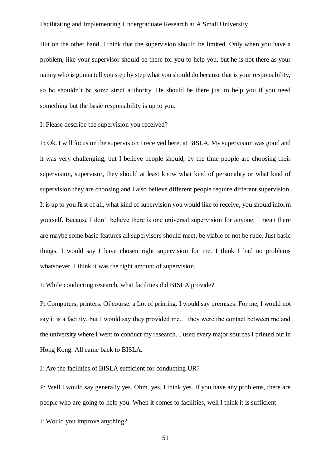But on the other hand, I think that the supervision should be limited. Only when you have a problem, like your supervisor should be there for you to help you, but he is not there as your nanny who is gonna tell you step by step what you should do because that is your responsibility, so he shouldn't be some strict authority. He should be there just to help you if you need something but the basic responsibility is up to you.

I: Please describe the supervision you received?

P: Ok. I will focus on the supervision I received here, at BISLA. My supervision was good and it was very challenging, but I believe people should, by the time people are choosing their supervision, supervisor, they should at least know what kind of personality or what kind of supervision they are choosing and I also believe different people require different supervision. It is up to you first of all, what kind of supervision you would like to receive, you should inform yourself. Because I don't believe there is one universal supervision for anyone, I mean there are maybe some basic features all supervisors should meet, be viable or not be rude. Just basic things. I would say I have chosen right supervision for me. I think I had no problems whatsoever. I think it was the right amount of supervision.

I: While conducting research, what facilities did BISLA provide?

P: Computers, printers. Of course. a Lot of printing. I would say premises. For me, I would not say it is a facility, but I would say they provided me… they were the contact between me and the university where I went to conduct my research. I used every major sources I printed out in Hong Kong. All came back to BISLA.

I: Are the facilities of BISLA sufficient for conducting UR?

P: Well I would say generally yes. Ohm, yes, I think yes. If you have any problems, there are people who are going to help you. When it comes to facilities, well I think it is sufficient.

I: Would you improve anything?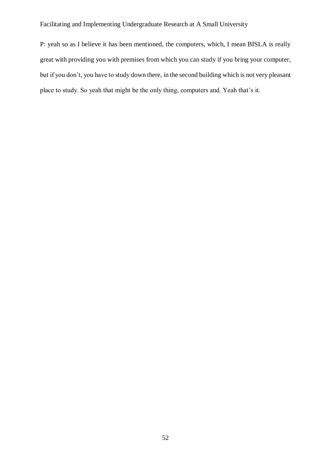P: yeah so as I believe it has been mentioned, the computers, which, I mean BISLA is really great with providing you with premises from which you can study if you bring your computer, but if you don't, you have to study down there, in the second building which is not very pleasant place to study. So yeah that might be the only thing, computers and. Yeah that's it.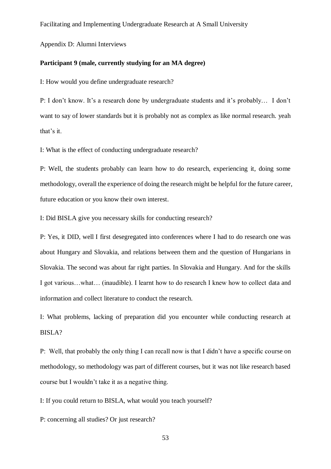<span id="page-52-0"></span>Appendix D: Alumni Interviews

#### **Participant 9 (male, currently studying for an MA degree)**

I: How would you define undergraduate research?

P: I don't know. It's a research done by undergraduate students and it's probably… I don't want to say of lower standards but it is probably not as complex as like normal research. yeah that's it.

I: What is the effect of conducting undergraduate research?

P: Well, the students probably can learn how to do research, experiencing it, doing some methodology, overall the experience of doing the research might be helpful for the future career, future education or you know their own interest.

I: Did BISLA give you necessary skills for conducting research?

P: Yes, it DID, well I first desegregated into conferences where I had to do research one was about Hungary and Slovakia, and relations between them and the question of Hungarians in Slovakia. The second was about far right parties. In Slovakia and Hungary. And for the skills I got various…what… (inaudible). I learnt how to do research I knew how to collect data and information and collect literature to conduct the research.

I: What problems, lacking of preparation did you encounter while conducting research at BISLA?

P: Well, that probably the only thing I can recall now is that I didn't have a specific course on methodology, so methodology was part of different courses, but it was not like research based course but I wouldn't take it as a negative thing.

I: If you could return to BISLA, what would you teach yourself?

P: concerning all studies? Or just research?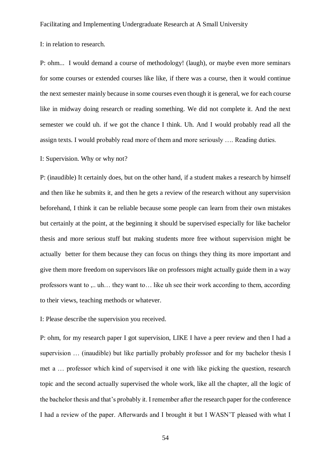# I: in relation to research.

P: ohm... I would demand a course of methodology! (laugh), or maybe even more seminars for some courses or extended courses like like, if there was a course, then it would continue the next semester mainly because in some courses even though it is general, we for each course like in midway doing research or reading something. We did not complete it. And the next semester we could uh. if we got the chance I think. Uh. And I would probably read all the assign texts. I would probably read more of them and more seriously …. Reading duties.

# I: Supervision. Why or why not?

P: (inaudible) It certainly does, but on the other hand, if a student makes a research by himself and then like he submits it, and then he gets a review of the research without any supervision beforehand, I think it can be reliable because some people can learn from their own mistakes but certainly at the point, at the beginning it should be supervised especially for like bachelor thesis and more serious stuff but making students more free without supervision might be actually better for them because they can focus on things they thing its more important and give them more freedom on supervisors like on professors might actually guide them in a way professors want to ,.. uh… they want to… like uh see their work according to them, according to their views, teaching methods or whatever.

# I: Please describe the supervision you received.

P: ohm, for my research paper I got supervision, LIKE I have a peer review and then I had a supervision … (inaudible) but like partially probably professor and for my bachelor thesis I met a … professor which kind of supervised it one with like picking the question, research topic and the second actually supervised the whole work, like all the chapter, all the logic of the bachelor thesis and that's probably it. I remember after the research paper for the conference I had a review of the paper. Afterwards and I brought it but I WASN'T pleased with what I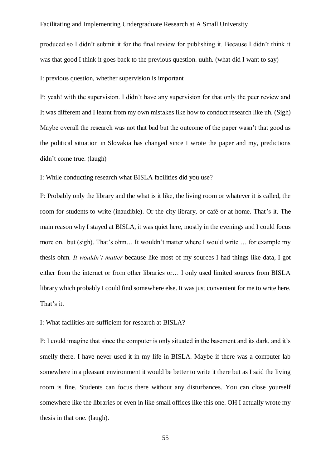produced so I didn't submit it for the final review for publishing it. Because I didn't think it was that good I think it goes back to the previous question. uuhh. (what did I want to say)

I: previous question, whether supervision is important

P: yeah! with the supervision. I didn't have any supervision for that only the peer review and It was different and I learnt from my own mistakes like how to conduct research like uh. (Sigh) Maybe overall the research was not that bad but the outcome of the paper wasn't that good as the political situation in Slovakia has changed since I wrote the paper and my, predictions didn't come true. (laugh)

I: While conducting research what BISLA facilities did you use?

P: Probably only the library and the what is it like, the living room or whatever it is called, the room for students to write (inaudible). Or the city library, or café or at home. That's it. The main reason why I stayed at BISLA, it was quiet here, mostly in the evenings and I could focus more on. but (sigh). That's ohm… It wouldn't matter where I would write … for example my thesis ohm. *It wouldn't matter* because like most of my sources I had things like data, I got either from the internet or from other libraries or… I only used limited sources from BISLA library which probably I could find somewhere else. It was just convenient for me to write here. That's it.

I: What facilities are sufficient for research at BISLA?

P: I could imagine that since the computer is only situated in the basement and its dark, and it's smelly there. I have never used it in my life in BISLA. Maybe if there was a computer lab somewhere in a pleasant environment it would be better to write it there but as I said the living room is fine. Students can focus there without any disturbances. You can close yourself somewhere like the libraries or even in like small offices like this one. OH I actually wrote my thesis in that one. (laugh).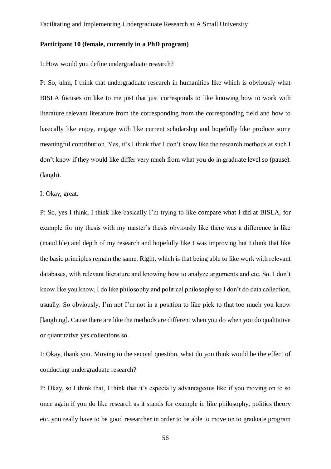## **Participant 10 (female, currently in a PhD program)**

I: How would you define undergraduate research?

P: So, uhm, I think that undergraduate research in humanities like which is obviously what BISLA focuses on like to me just that just corresponds to like knowing how to work with literature relevant literature from the corresponding from the corresponding field and how to basically like enjoy, engage with like current scholarship and hopefully like produce some meaningful contribution. Yes, it's I think that I don't know like the research methods at such I don't know if they would like differ very much from what you do in graduate level so (pause). (laugh).

I: Okay, great.

P: So, yes I think, I think like basically I'm trying to like compare what I did at BISLA, for example for my thesis with my master's thesis obviously like there was a difference in like (inaudible) and depth of my research and hopefully like I was improving but I think that like the basic principles remain the same. Right, which is that being able to like work with relevant databases, with relevant literature and knowing how to analyze arguments and etc. So. I don't know like you know, I do like philosophy and political philosophy so I don't do data collection, usually. So obviously, I'm not I'm not in a position to like pick to that too much you know [laughing]. Cause there are like the methods are different when you do when you do qualitative or quantitative yes collections so.

I: Okay, thank you. Moving to the second question, what do you think would be the effect of conducting undergraduate research?

P: Okay, so I think that, I think that it's especially advantageous like if you moving on to so once again if you do like research as it stands for example in like philosophy, politics theory etc. you really have to be good researcher in order to be able to move on to graduate program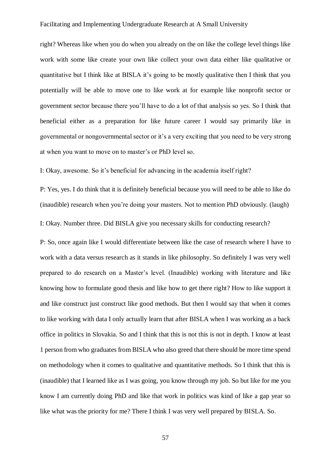right? Whereas like when you do when you already on the on like the college level things like work with some like create your own like collect your own data either like qualitative or quantitative but I think like at BISLA it's going to be mostly qualitative then I think that you potentially will be able to move one to like work at for example like nonprofit sector or government sector because there you'll have to do a lot of that analysis so yes. So I think that beneficial either as a preparation for like future career I would say primarily like in governmental or nongovernmental sector or it's a very exciting that you need to be very strong at when you want to move on to master's or PhD level so.

I: Okay, awesome. So it's beneficial for advancing in the academia itself right?

P: Yes, yes. I do think that it is definitely beneficial because you will need to be able to like do (inaudible) research when you're doing your masters. Not to mention PhD obviously. (laugh)

I: Okay. Number three. Did BISLA give you necessary skills for conducting research?

P: So, once again like I would differentiate between like the case of research where I have to work with a data versus research as it stands in like philosophy. So definitely I was very well prepared to do research on a Master's level. (Inaudible) working with literature and like knowing how to formulate good thesis and like how to get there right? How to like support it and like construct just construct like good methods. But then I would say that when it comes to like working with data I only actually learn that after BISLA when I was working as a back office in politics in Slovakia. So and I think that this is not this is not in depth. I know at least 1 person from who graduates from BISLA who also greed that there should be more time spend on methodology when it comes to qualitative and quantitative methods. So I think that this is (inaudible) that I learned like as I was going, you know through my job. So but like for me you know I am currently doing PhD and like that work in politics was kind of like a gap year so like what was the priority for me? There I think I was very well prepared by BISLA. So.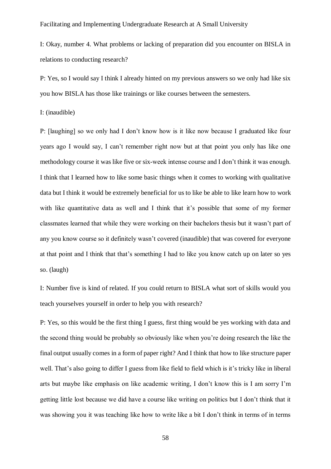I: Okay, number 4. What problems or lacking of preparation did you encounter on BISLA in relations to conducting research?

P: Yes, so I would say I think I already hinted on my previous answers so we only had like six you how BISLA has those like trainings or like courses between the semesters.

I: (inaudible)

P: [laughing] so we only had I don't know how is it like now because I graduated like four years ago I would say, I can't remember right now but at that point you only has like one methodology course it was like five or six-week intense course and I don't think it was enough. I think that I learned how to like some basic things when it comes to working with qualitative data but I think it would be extremely beneficial for us to like be able to like learn how to work with like quantitative data as well and I think that it's possible that some of my former classmates learned that while they were working on their bachelors thesis but it wasn't part of any you know course so it definitely wasn't covered (inaudible) that was covered for everyone at that point and I think that that's something I had to like you know catch up on later so yes so. (laugh)

I: Number five is kind of related. If you could return to BISLA what sort of skills would you teach yourselves yourself in order to help you with research?

P: Yes, so this would be the first thing I guess, first thing would be yes working with data and the second thing would be probably so obviously like when you're doing research the like the final output usually comes in a form of paper right? And I think that how to like structure paper well. That's also going to differ I guess from like field to field which is it's tricky like in liberal arts but maybe like emphasis on like academic writing, I don't know this is I am sorry I'm getting little lost because we did have a course like writing on politics but I don't think that it was showing you it was teaching like how to write like a bit I don't think in terms of in terms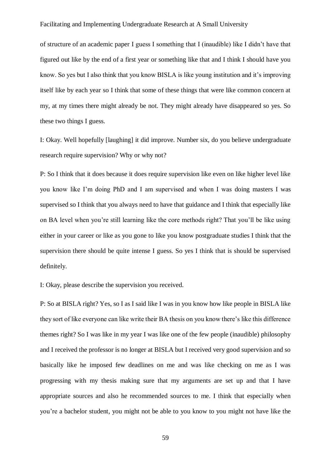of structure of an academic paper I guess I something that I (inaudible) like I didn't have that figured out like by the end of a first year or something like that and I think I should have you know. So yes but I also think that you know BISLA is like young institution and it's improving itself like by each year so I think that some of these things that were like common concern at my, at my times there might already be not. They might already have disappeared so yes. So these two things I guess.

I: Okay. Well hopefully [laughing] it did improve. Number six, do you believe undergraduate research require supervision? Why or why not?

P: So I think that it does because it does require supervision like even on like higher level like you know like I'm doing PhD and I am supervised and when I was doing masters I was supervised so I think that you always need to have that guidance and I think that especially like on BA level when you're still learning like the core methods right? That you'll be like using either in your career or like as you gone to like you know postgraduate studies I think that the supervision there should be quite intense I guess. So yes I think that is should be supervised definitely.

I: Okay, please describe the supervision you received.

P: So at BISLA right? Yes, so I as I said like I was in you know how like people in BISLA like they sort of like everyone can like write their BA thesis on you know there's like this difference themes right? So I was like in my year I was like one of the few people (inaudible) philosophy and I received the professor is no longer at BISLA but I received very good supervision and so basically like he imposed few deadlines on me and was like checking on me as I was progressing with my thesis making sure that my arguments are set up and that I have appropriate sources and also he recommended sources to me. I think that especially when you're a bachelor student, you might not be able to you know to you might not have like the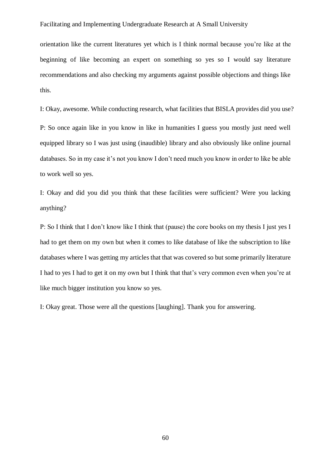orientation like the current literatures yet which is I think normal because you're like at the beginning of like becoming an expert on something so yes so I would say literature recommendations and also checking my arguments against possible objections and things like this.

I: Okay, awesome. While conducting research, what facilities that BISLA provides did you use?

P: So once again like in you know in like in humanities I guess you mostly just need well equipped library so I was just using (inaudible) library and also obviously like online journal databases. So in my case it's not you know I don't need much you know in order to like be able to work well so yes.

I: Okay and did you did you think that these facilities were sufficient? Were you lacking anything?

P: So I think that I don't know like I think that (pause) the core books on my thesis I just yes I had to get them on my own but when it comes to like database of like the subscription to like databases where I was getting my articles that that was covered so but some primarily literature I had to yes I had to get it on my own but I think that that's very common even when you're at like much bigger institution you know so yes.

I: Okay great. Those were all the questions [laughing]. Thank you for answering.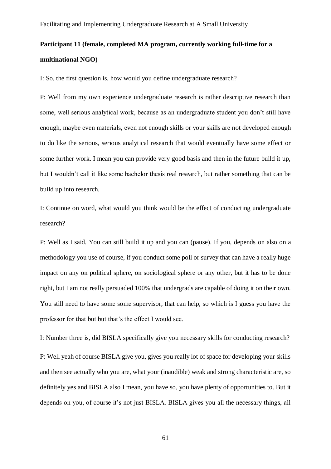# **Participant 11 (female, completed MA program, currently working full-time for a multinational NGO)**

I: So, the first question is, how would you define undergraduate research?

P: Well from my own experience undergraduate research is rather descriptive research than some, well serious analytical work, because as an undergraduate student you don't still have enough, maybe even materials, even not enough skills or your skills are not developed enough to do like the serious, serious analytical research that would eventually have some effect or some further work. I mean you can provide very good basis and then in the future build it up, but I wouldn't call it like some bachelor thesis real research, but rather something that can be build up into research.

I: Continue on word, what would you think would be the effect of conducting undergraduate research?

P: Well as I said. You can still build it up and you can (pause). If you, depends on also on a methodology you use of course, if you conduct some poll or survey that can have a really huge impact on any on political sphere, on sociological sphere or any other, but it has to be done right, but I am not really persuaded 100% that undergrads are capable of doing it on their own. You still need to have some some supervisor, that can help, so which is I guess you have the professor for that but but that's the effect I would see.

I: Number three is, did BISLA specifically give you necessary skills for conducting research? P: Well yeah of course BISLA give you, gives you really lot of space for developing your skills and then see actually who you are, what your (inaudible) weak and strong characteristic are, so definitely yes and BISLA also I mean, you have so, you have plenty of opportunities to. But it depends on you, of course it's not just BISLA. BISLA gives you all the necessary things, all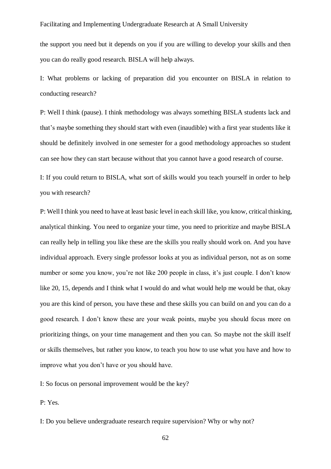the support you need but it depends on you if you are willing to develop your skills and then you can do really good research. BISLA will help always.

I: What problems or lacking of preparation did you encounter on BISLA in relation to conducting research?

P: Well I think (pause). I think methodology was always something BISLA students lack and that's maybe something they should start with even (inaudible) with a first year students like it should be definitely involved in one semester for a good methodology approaches so student can see how they can start because without that you cannot have a good research of course.

I: If you could return to BISLA, what sort of skills would you teach yourself in order to help you with research?

P: Well I think you need to have at least basic level in each skill like, you know, critical thinking, analytical thinking. You need to organize your time, you need to prioritize and maybe BISLA can really help in telling you like these are the skills you really should work on. And you have individual approach. Every single professor looks at you as individual person, not as on some number or some you know, you're not like 200 people in class, it's just couple. I don't know like 20, 15, depends and I think what I would do and what would help me would be that, okay you are this kind of person, you have these and these skills you can build on and you can do a good research. I don't know these are your weak points, maybe you should focus more on prioritizing things, on your time management and then you can. So maybe not the skill itself or skills themselves, but rather you know, to teach you how to use what you have and how to improve what you don't have or you should have.

I: So focus on personal improvement would be the key?

P: Yes.

I: Do you believe undergraduate research require supervision? Why or why not?

62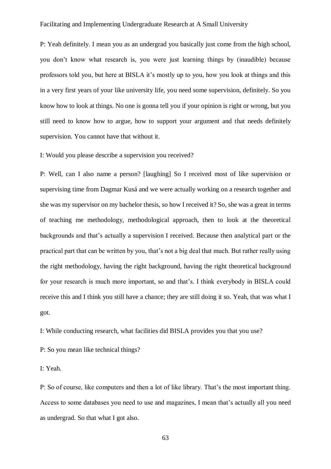P: Yeah definitely. I mean you as an undergrad you basically just come from the high school, you don't know what research is, you were just learning things by (inaudible) because professors told you, but here at BISLA it's mostly up to you, how you look at things and this in a very first years of your like university life, you need some supervision, definitely. So you know how to look at things. No one is gonna tell you if your opinion is right or wrong, but you still need to know how to argue, how to support your argument and that needs definitely supervision. You cannot have that without it.

I: Would you please describe a supervision you received?

P: Well, can I also name a person? [laughing] So I received most of like supervision or supervising time from Dagmar Kusá and we were actually working on a research together and she was my supervisor on my bachelor thesis, so how I received it? So, she was a great in terms of teaching me methodology, methodological approach, then to look at the theoretical backgrounds and that's actually a supervision I received. Because then analytical part or the practical part that can be written by you, that's not a big deal that much. But rather really using the right methodology, having the right background, having the right theoretical background for your research is much more important, so and that's. I think everybody in BISLA could receive this and I think you still have a chance; they are still doing it so. Yeah, that was what I got.

I: While conducting research, what facilities did BISLA provides you that you use?

P: So you mean like technical things?

I: Yeah.

P: So of course, like computers and then a lot of like library. That's the most important thing. Access to some databases you need to use and magazines, I mean that's actually all you need as undergrad. So that what I got also.

63